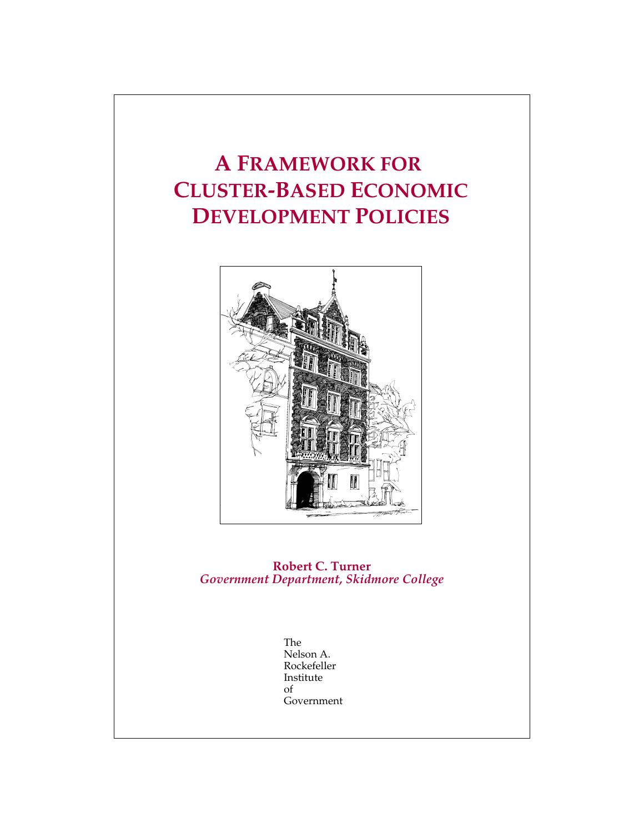# **A FRAMEWORK FOR CLUSTER-BASED ECONOMIC DEVELOPMENT POLICIES**



### **Robert C. Turner** *Government Department, Skidmore College*

The Nelson A. Rockefeller Institute of Government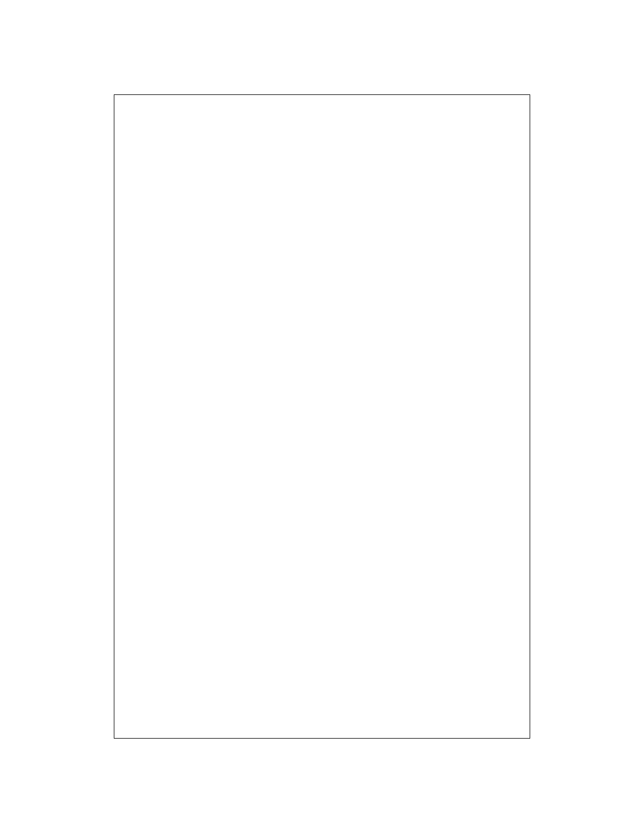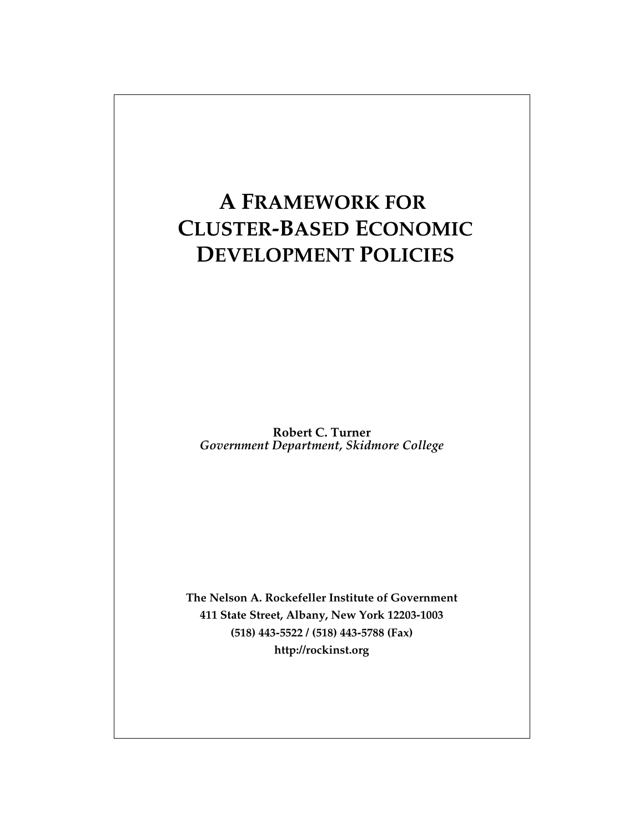# **A FRAMEWORK FOR CLUSTER-BASED ECONOMIC DEVELOPMENT POLICIES**

**Robert C. Turner** *Government Department, Skidmore College*

**The Nelson A. Rockefeller Institute of Government 411 State Street, Albany, New York 12203-1003 (518) 443-5522 / (518) 443-5788 (Fax) http://rockinst.org**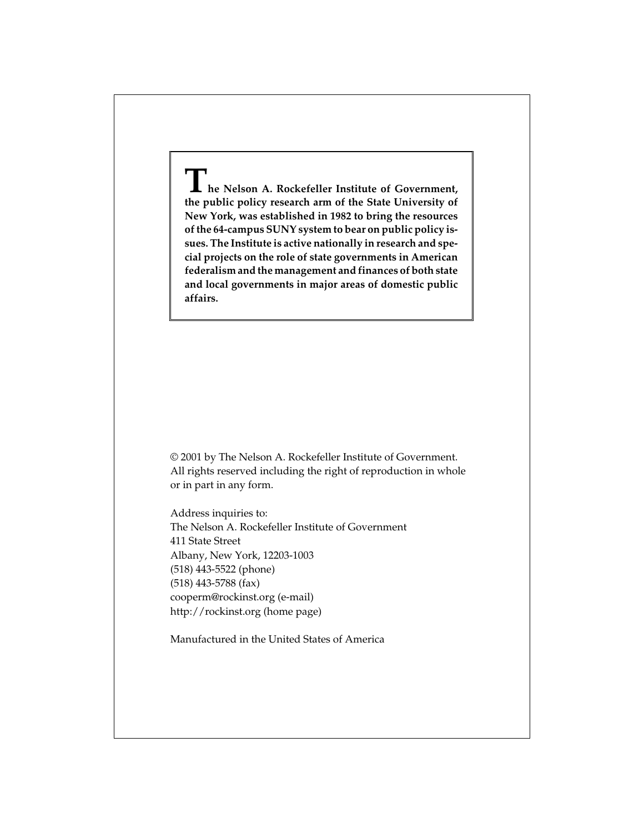**The Nelson A. Rockefeller Institute of Government, the public policy research arm of the State University of New York, was established in 1982 to bring the resources of the 64-campus SUNY system to bear on public policy issues. The Institute is active nationally in research and special projects on the role of state governments in American federalism and the management and finances of both state and local governments in major areas of domestic public affairs.**

© 2001 by The Nelson A. Rockefeller Institute of Government. All rights reserved including the right of reproduction in whole or in part in any form.

Address inquiries to: The Nelson A. Rockefeller Institute of Government 411 State Street Albany, New York, 12203-1003 (518) 443-5522 (phone) (518) 443-5788 (fax) cooperm@rockinst.org (e-mail) http://rockinst.org (home page)

Manufactured in the United States of America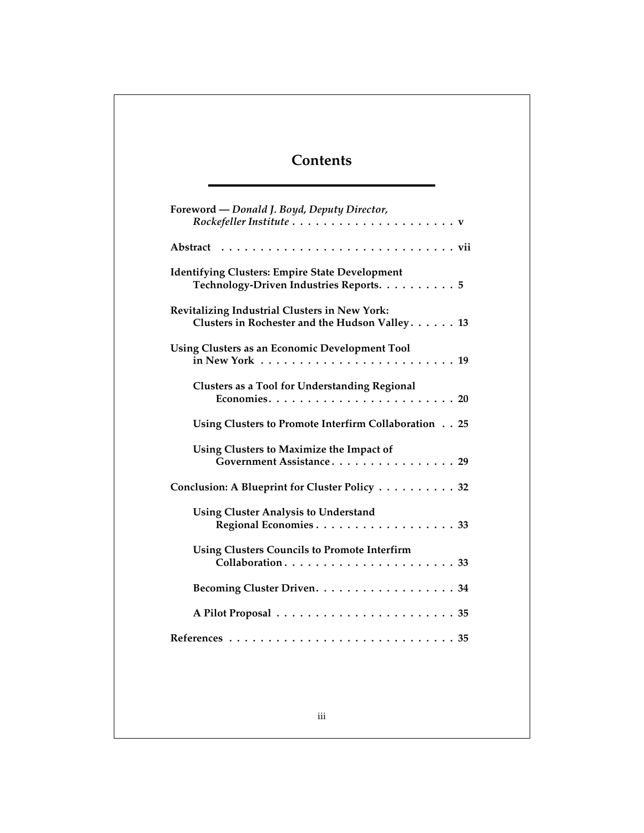# **Contents**

| Foreword - Donald J. Boyd, Deputy Director,                                                      |
|--------------------------------------------------------------------------------------------------|
|                                                                                                  |
| <b>Identifying Clusters: Empire State Development</b><br>Technology-Driven Industries Reports. 5 |
| Revitalizing Industrial Clusters in New York:<br>Clusters in Rochester and the Hudson Valley. 13 |
| Using Clusters as an Economic Development Tool                                                   |
| Clusters as a Tool for Understanding Regional                                                    |
| Using Clusters to Promote Interfirm Collaboration 25                                             |
| Using Clusters to Maximize the Impact of<br>Government Assistance. 29                            |
| Conclusion: A Blueprint for Cluster Policy 32                                                    |
| <b>Using Cluster Analysis to Understand</b><br>Regional Economies 33                             |
| <b>Using Clusters Councils to Promote Interfirm</b>                                              |
| Becoming Cluster Driven. 34                                                                      |
|                                                                                                  |
|                                                                                                  |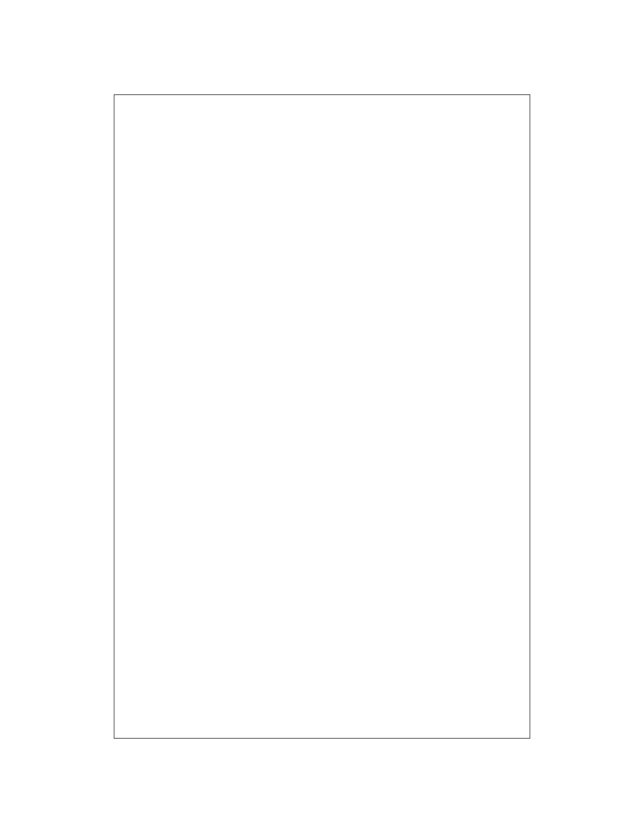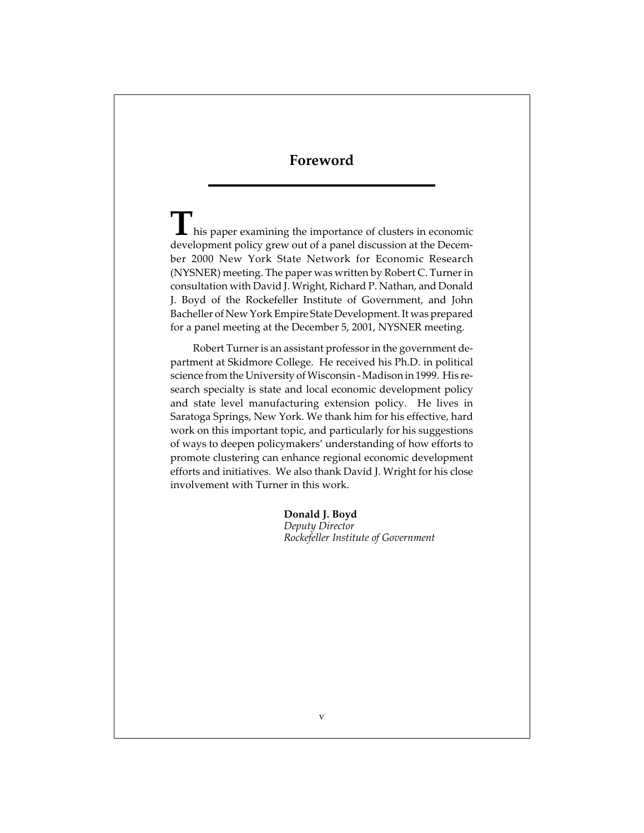### **Foreword**

. his paper examining the importance of clusters in economic development policy grew out of a panel discussion at the December 2000 New York State Network for Economic Research (NYSNER) meeting. The paper was written by Robert C. Turner in consultation with David J. Wright, Richard P. Nathan, and Donald J. Boyd of the Rockefeller Institute of Government, and John Bacheller of New York Empire State Development. It was prepared for a panel meeting at the December 5, 2001, NYSNER meeting.

Robert Turner is an assistant professor in the government department at Skidmore College. He received his Ph.D. in political science from the University of Wisconsin - Madison in 1999. His research specialty is state and local economic development policy and state level manufacturing extension policy. He lives in Saratoga Springs, New York. We thank him for his effective, hard work on this important topic, and particularly for his suggestions of ways to deepen policymakers' understanding of how efforts to promote clustering can enhance regional economic development efforts and initiatives. We also thank David J. Wright for his close involvement with Turner in this work.

> **Donald J. Boyd** *Deputy Director Rockefeller Institute of Government*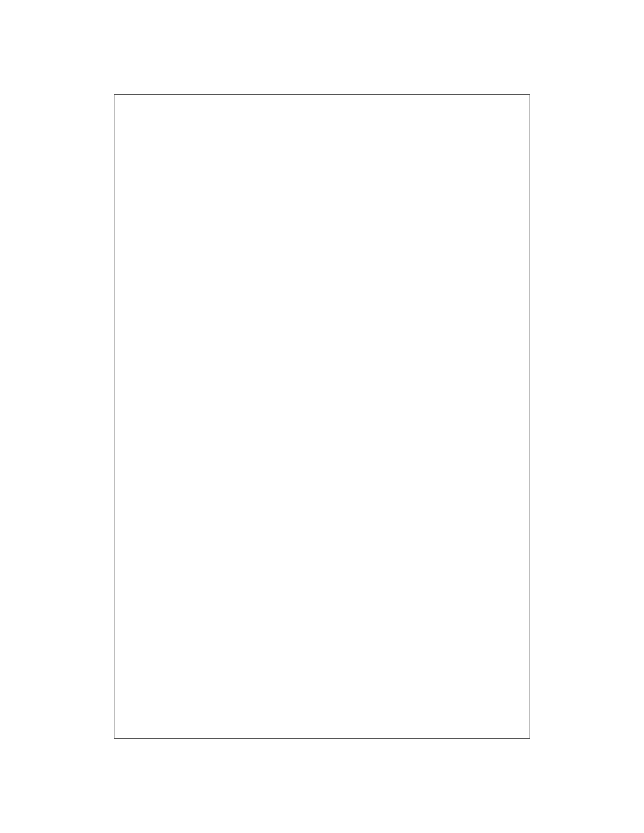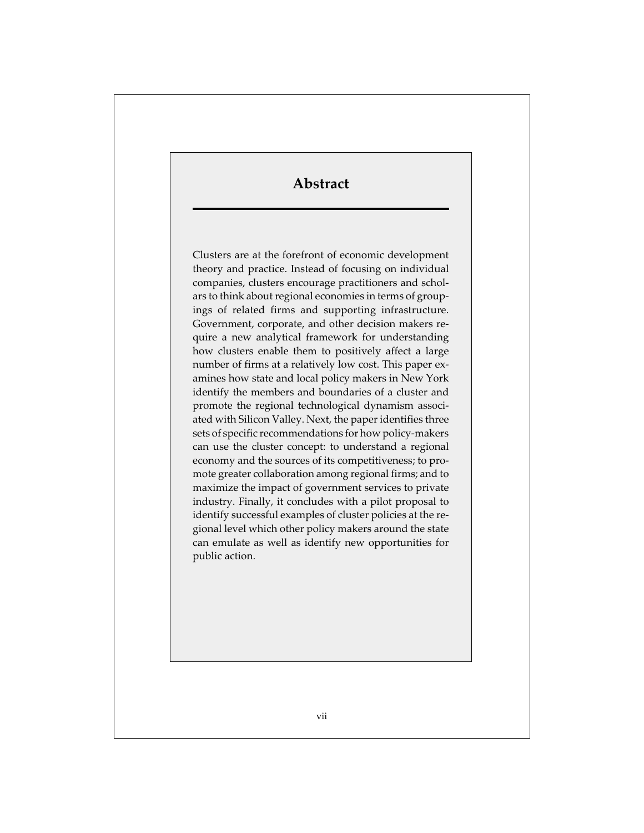# **Abstract**

Clusters are at the forefront of economic development theory and practice. Instead of focusing on individual companies, clusters encourage practitioners and scholars to think about regional economies in terms of groupings of related firms and supporting infrastructure. Government, corporate, and other decision makers require a new analytical framework for understanding how clusters enable them to positively affect a large number of firms at a relatively low cost. This paper examines how state and local policy makers in New York identify the members and boundaries of a cluster and promote the regional technological dynamism associated with Silicon Valley. Next, the paper identifies three sets of specific recommendations for how policy-makers can use the cluster concept: to understand a regional economy and the sources of its competitiveness; to promote greater collaboration among regional firms; and to maximize the impact of government services to private industry. Finally, it concludes with a pilot proposal to identify successful examples of cluster policies at the regional level which other policy makers around the state can emulate as well as identify new opportunities for public action.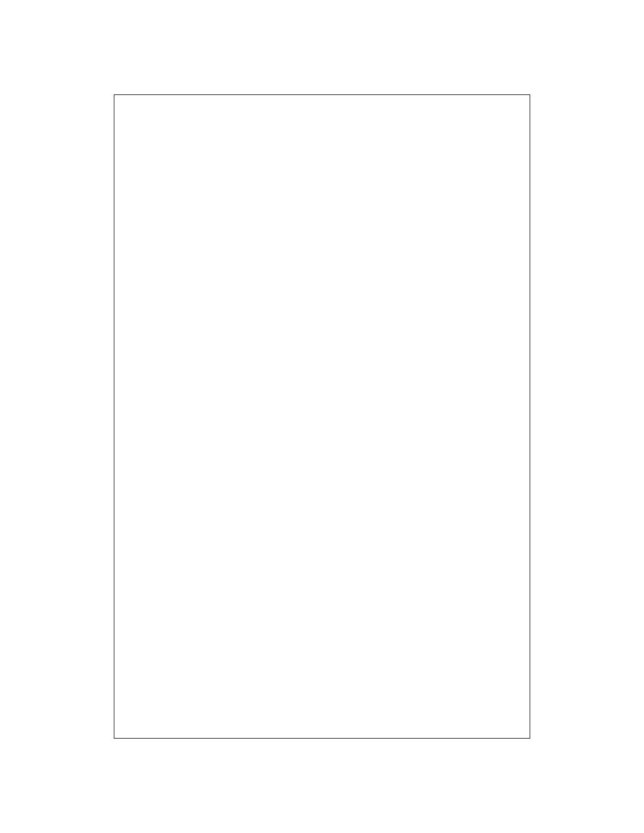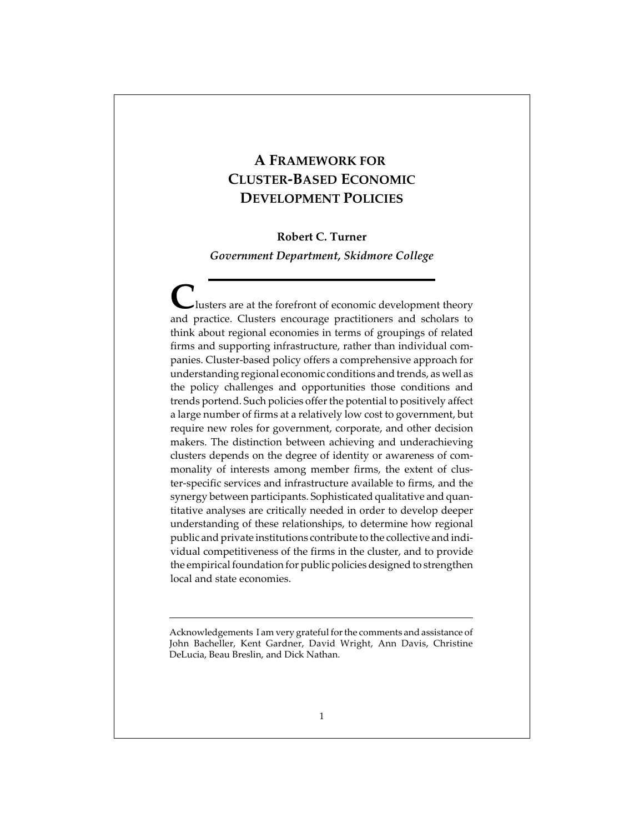# **A FRAMEWORK FOR CLUSTER-BASED ECONOMIC DEVELOPMENT POLICIES**

#### **Robert C. Turner**

*Government Department, Skidmore College*

lusters are at the forefront of economic development theory and practice. Clusters encourage practitioners and scholars to think about regional economies in terms of groupings of related firms and supporting infrastructure, rather than individual companies. Cluster-based policy offers a comprehensive approach for understanding regional economic conditions and trends, as well as the policy challenges and opportunities those conditions and trends portend. Such policies offer the potential to positively affect a large number of firms at a relatively low cost to government, but require new roles for government, corporate, and other decision makers. The distinction between achieving and underachieving clusters depends on the degree of identity or awareness of commonality of interests among member firms, the extent of cluster-specific services and infrastructure available to firms, and the synergy between participants. Sophisticated qualitative and quantitative analyses are critically needed in order to develop deeper understanding of these relationships, to determine how regional public and private institutions contribute to the collective and individual competitiveness of the firms in the cluster, and to provide the empirical foundation for public policies designed to strengthen local and state economies.

Acknowledgements I am very grateful for the comments and assistance of John Bacheller, Kent Gardner, David Wright, Ann Davis, Christine DeLucia, Beau Breslin, and Dick Nathan.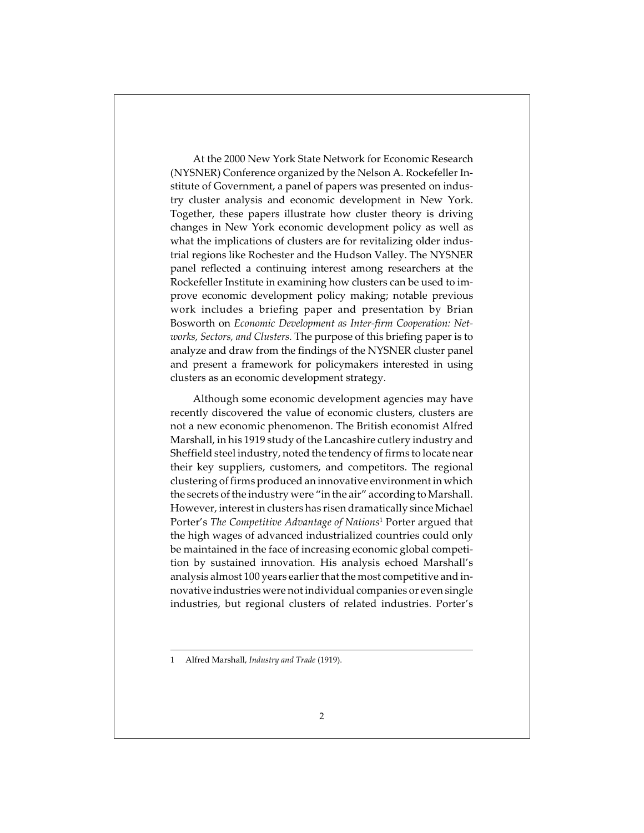At the 2000 New York State Network for Economic Research (NYSNER) Conference organized by the Nelson A. Rockefeller Institute of Government, a panel of papers was presented on industry cluster analysis and economic development in New York. Together, these papers illustrate how cluster theory is driving changes in New York economic development policy as well as what the implications of clusters are for revitalizing older industrial regions like Rochester and the Hudson Valley. The NYSNER panel reflected a continuing interest among researchers at the Rockefeller Institute in examining how clusters can be used to improve economic development policy making; notable previous work includes a briefing paper and presentation by Brian Bosworth on *Economic Development as Inter-firm Cooperation: Networks, Sectors, and Clusters.* The purpose of this briefing paper is to analyze and draw from the findings of the NYSNER cluster panel and present a framework for policymakers interested in using clusters as an economic development strategy.

Although some economic development agencies may have recently discovered the value of economic clusters, clusters are not a new economic phenomenon. The British economist Alfred Marshall, in his 1919 study of the Lancashire cutlery industry and Sheffield steel industry, noted the tendency of firms to locate near their key suppliers, customers, and competitors. The regional clustering of firms produced an innovative environment in which the secrets of the industry were "in the air" according to Marshall. However, interest in clusters has risen dramatically since Michael Porter's *The Competitive Advantage of Nations*<sup>1</sup> Porter argued that the high wages of advanced industrialized countries could only be maintained in the face of increasing economic global competition by sustained innovation. His analysis echoed Marshall's analysis almost 100 years earlier that the most competitive and innovative industries were not individual companies or even single industries, but regional clusters of related industries. Porter's

<sup>1</sup> Alfred Marshall, *Industry and Trade* (1919).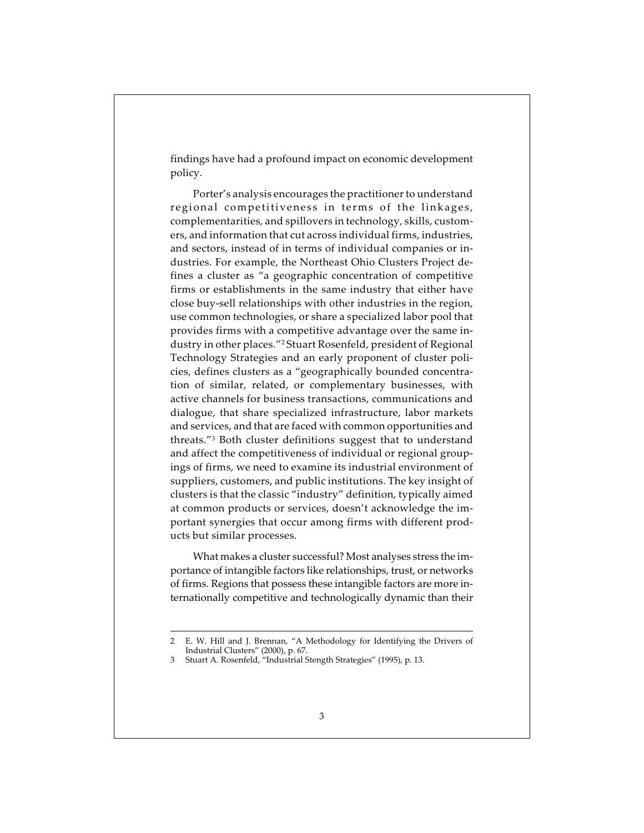findings have had a profound impact on economic development policy.

Porter's analysis encourages the practitioner to understand regional competitiveness in terms of the linkages, complementarities, and spillovers in technology, skills, customers, and information that cut across individual firms, industries, and sectors, instead of in terms of individual companies or industries. For example, the Northeast Ohio Clusters Project defines a cluster as "a geographic concentration of competitive firms or establishments in the same industry that either have close buy-sell relationships with other industries in the region, use common technologies, or share a specialized labor pool that provides firms with a competitive advantage over the same industry in other places."<sup>2</sup> Stuart Rosenfeld, president of Regional Technology Strategies and an early proponent of cluster policies, defines clusters as a "geographically bounded concentration of similar, related, or complementary businesses, with active channels for business transactions, communications and dialogue, that share specialized infrastructure, labor markets and services, and that are faced with common opportunities and threats."<sup>3</sup> Both cluster definitions suggest that to understand and affect the competitiveness of individual or regional groupings of firms, we need to examine its industrial environment of suppliers, customers, and public institutions. The key insight of clusters is that the classic "industry" definition, typically aimed at common products or services, doesn't acknowledge the important synergies that occur among firms with different products but similar processes.

What makes a cluster successful? Most analyses stress the importance of intangible factors like relationships, trust, or networks of firms. Regions that possess these intangible factors are more internationally competitive and technologically dynamic than their

<sup>2</sup> E. W. Hill and J. Brennan, "A Methodology for Identifying the Drivers of Industrial Clusters" (2000), p. 67.

<sup>3</sup> Stuart A. Rosenfeld, "Industrial Stength Strategies" (1995), p. 13.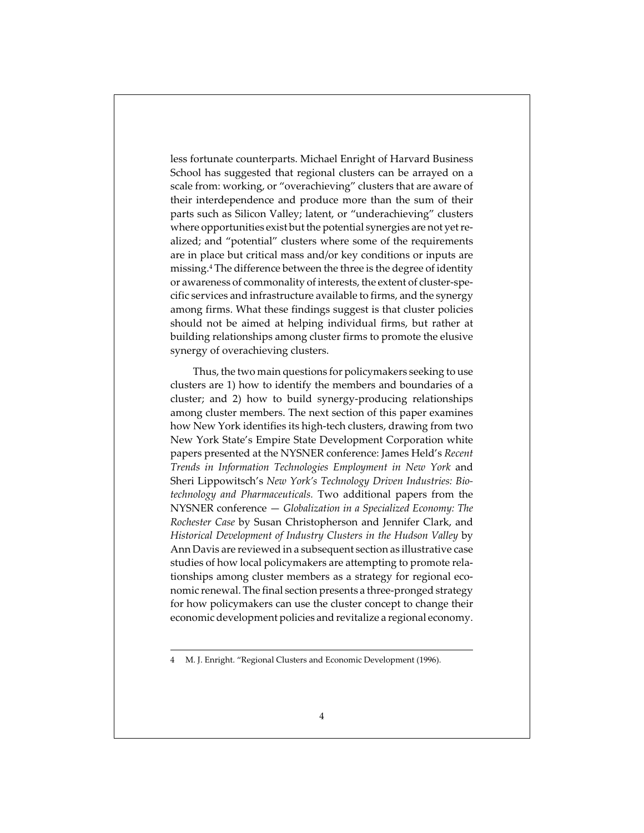less fortunate counterparts. Michael Enright of Harvard Business School has suggested that regional clusters can be arrayed on a scale from: working, or "overachieving" clusters that are aware of their interdependence and produce more than the sum of their parts such as Silicon Valley; latent, or "underachieving" clusters where opportunities exist but the potential synergies are not yet realized; and "potential" clusters where some of the requirements are in place but critical mass and/or key conditions or inputs are missing.<sup>4</sup> The difference between the three is the degree of identity or awareness of commonality of interests, the extent of cluster-specific services and infrastructure available to firms, and the synergy among firms. What these findings suggest is that cluster policies should not be aimed at helping individual firms, but rather at building relationships among cluster firms to promote the elusive synergy of overachieving clusters.

Thus, the two main questions for policymakers seeking to use clusters are 1) how to identify the members and boundaries of a cluster; and 2) how to build synergy-producing relationships among cluster members. The next section of this paper examines how New York identifies its high-tech clusters, drawing from two New York State's Empire State Development Corporation white papers presented at the NYSNER conference: James Held's *Recent Trends in Information Technologies Employment in New York* and Sheri Lippowitsch's *New York's Technology Driven Industries: Biotechnology and Pharmaceuticals.* Two additional papers from the NYSNER conference — *Globalization in a Specialized Economy: The Rochester Case* by Susan Christopherson and Jennifer Clark, and *Historical Development of Industry Clusters in the Hudson Valley* by Ann Davis are reviewed in a subsequent section as illustrative case studies of how local policymakers are attempting to promote relationships among cluster members as a strategy for regional economic renewal. The final section presents a three-pronged strategy for how policymakers can use the cluster concept to change their economic development policies and revitalize a regional economy.

<sup>4</sup> M. J. Enright. "Regional Clusters and Economic Development (1996).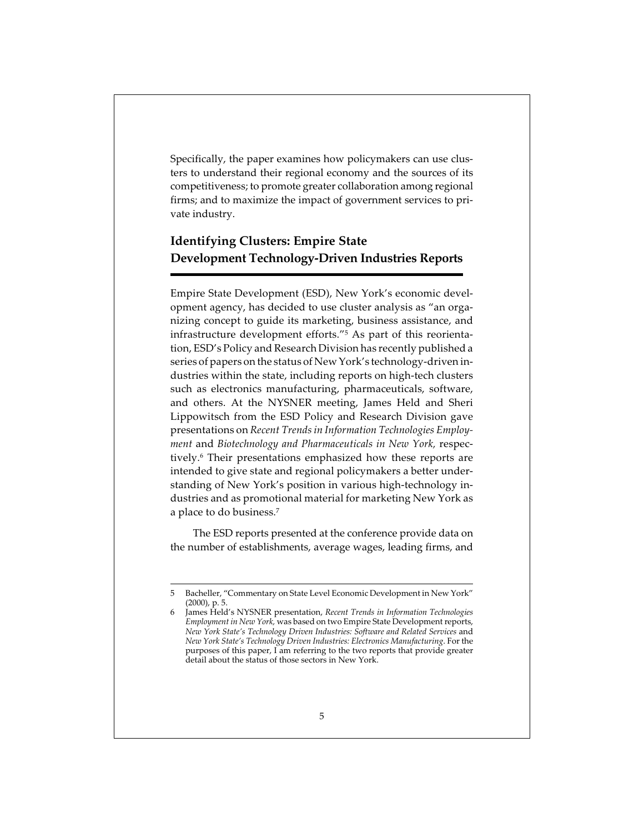Specifically, the paper examines how policymakers can use clusters to understand their regional economy and the sources of its competitiveness; to promote greater collaboration among regional firms; and to maximize the impact of government services to private industry.

# **Identifying Clusters: Empire State Development Technology-Driven Industries Reports**

Empire State Development (ESD), New York's economic development agency, has decided to use cluster analysis as "an organizing concept to guide its marketing, business assistance, and infrastructure development efforts."<sup>5</sup> As part of this reorientation, ESD's Policy and Research Division has recently published a series of papers on the status of New York's technology-driven industries within the state, including reports on high-tech clusters such as electronics manufacturing, pharmaceuticals, software, and others. At the NYSNER meeting, James Held and Sheri Lippowitsch from the ESD Policy and Research Division gave presentations on *Recent Trends in Information Technologies Employment* and *Biotechnology and Pharmaceuticals in New York,* respectively.<sup>6</sup> Their presentations emphasized how these reports are intended to give state and regional policymakers a better understanding of New York's position in various high-technology industries and as promotional material for marketing New York as a place to do business.<sup>7</sup>

The ESD reports presented at the conference provide data on the number of establishments, average wages, leading firms, and

<sup>5</sup> Bacheller, "Commentary on State Level Economic Development in New York" (2000), p. 5.

<sup>6</sup> James Held's NYSNER presentation, *Recent Trends in Information Technologies Employment in New York,* was based on two Empire State Development reports, *New York State's Technology Driven Industries: Software and Related Services* and *New York State's Technology Driven Industries: Electronics Manufacturing*. For the purposes of this paper, I am referring to the two reports that provide greater detail about the status of those sectors in New York.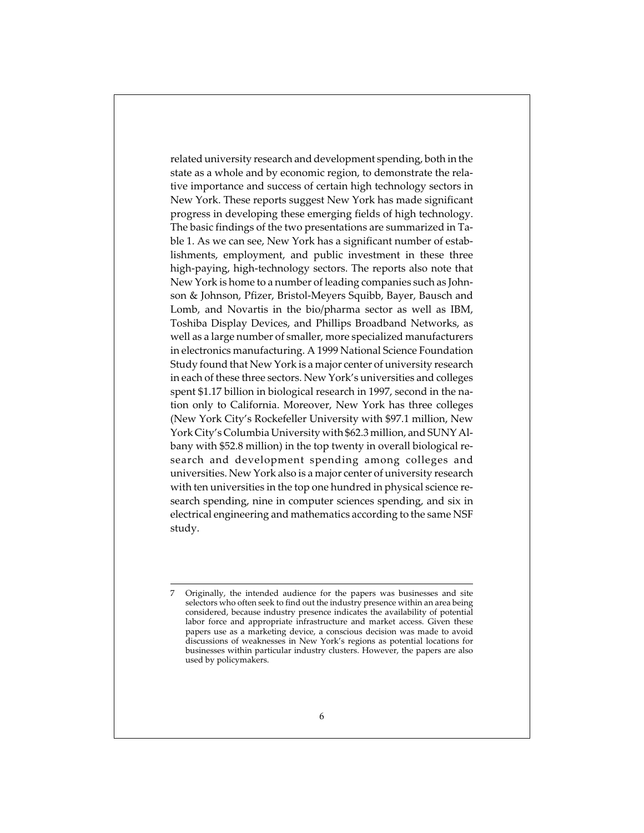related university research and development spending, both in the state as a whole and by economic region, to demonstrate the relative importance and success of certain high technology sectors in New York. These reports suggest New York has made significant progress in developing these emerging fields of high technology. The basic findings of the two presentations are summarized in Table 1. As we can see, New York has a significant number of establishments, employment, and public investment in these three high-paying, high-technology sectors. The reports also note that New York is home to a number of leading companies such as Johnson & Johnson, Pfizer, Bristol-Meyers Squibb, Bayer, Bausch and Lomb, and Novartis in the bio/pharma sector as well as IBM, Toshiba Display Devices, and Phillips Broadband Networks, as well as a large number of smaller, more specialized manufacturers in electronics manufacturing. A 1999 National Science Foundation Study found that New York is a major center of university research in each of these three sectors. New York's universities and colleges spent \$1.17 billion in biological research in 1997, second in the nation only to California. Moreover, New York has three colleges (New York City's Rockefeller University with \$97.1 million, New York City's Columbia University with \$62.3 million, and SUNY Albany with \$52.8 million) in the top twenty in overall biological research and development spending among colleges and universities. New York also is a major center of university research with ten universities in the top one hundred in physical science research spending, nine in computer sciences spending, and six in electrical engineering and mathematics according to the same NSF study.

Originally, the intended audience for the papers was businesses and site selectors who often seek to find out the industry presence within an area being considered, because industry presence indicates the availability of potential labor force and appropriate infrastructure and market access. Given these papers use as a marketing device, a conscious decision was made to avoid discussions of weaknesses in New York's regions as potential locations for businesses within particular industry clusters. However, the papers are also used by policymakers.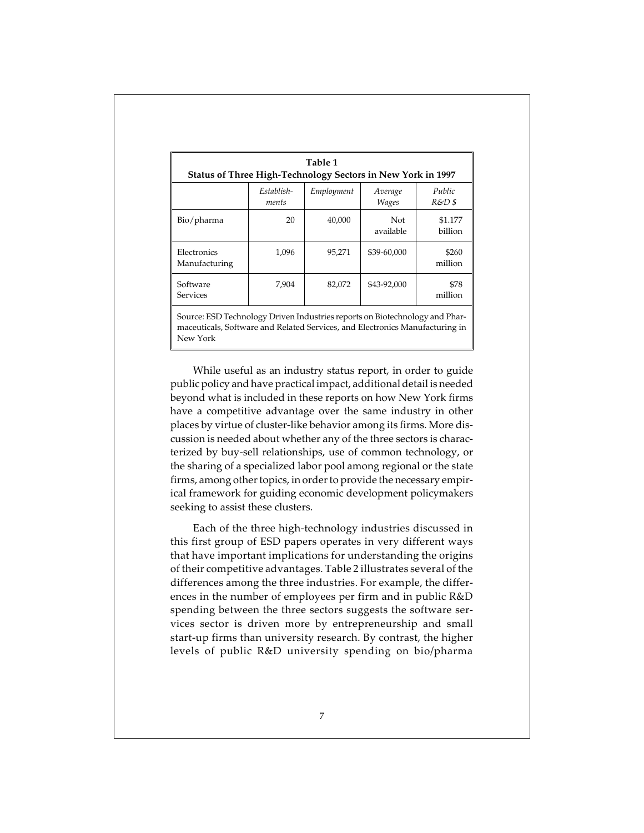| Table 1<br>Status of Three High-Technology Sectors in New York in 1997 |                     |            |                  |                    |  |  |
|------------------------------------------------------------------------|---------------------|------------|------------------|--------------------|--|--|
|                                                                        | Establish-<br>ments | Employment | Average<br>Wages | Public<br>R&D\$    |  |  |
| Bio/pharma                                                             | 20                  | 40,000     | Not<br>available | \$1.177<br>billion |  |  |
| Electronics<br>Manufacturing                                           | 1,096               | 95,271     | \$39-60,000      | \$260<br>million   |  |  |
| Software<br>Services                                                   | 7,904               | 82,072     | \$43-92.000      | \$78<br>million    |  |  |

Source: ESD Technology Driven Industries reports on Biotechnology and Pharmaceuticals, Software and Related Services, and Electronics Manufacturing in New York

While useful as an industry status report, in order to guide public policy and have practical impact, additional detail is needed beyond what is included in these reports on how New York firms have a competitive advantage over the same industry in other places by virtue of cluster-like behavior among its firms. More discussion is needed about whether any of the three sectors is characterized by buy-sell relationships, use of common technology, or the sharing of a specialized labor pool among regional or the state firms, among other topics, in order to provide the necessary empirical framework for guiding economic development policymakers seeking to assist these clusters.

Each of the three high-technology industries discussed in this first group of ESD papers operates in very different ways that have important implications for understanding the origins of their competitive advantages. Table 2 illustrates several of the differences among the three industries. For example, the differences in the number of employees per firm and in public R&D spending between the three sectors suggests the software services sector is driven more by entrepreneurship and small start-up firms than university research. By contrast, the higher levels of public R&D university spending on bio/pharma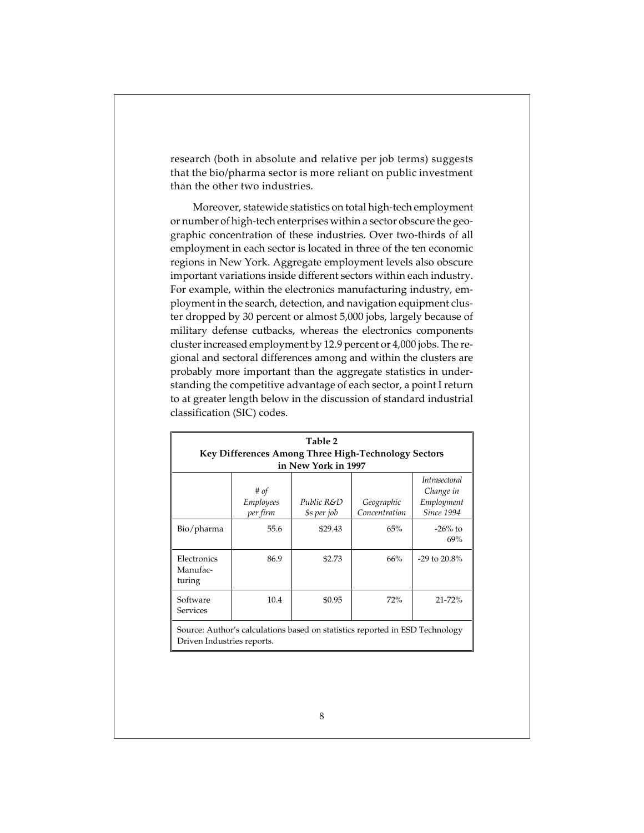research (both in absolute and relative per job terms) suggests that the bio/pharma sector is more reliant on public investment than the other two industries.

Moreover, statewide statistics on total high-tech employment or number of high-tech enterprises within a sector obscure the geographic concentration of these industries. Over two-thirds of all employment in each sector is located in three of the ten economic regions in New York. Aggregate employment levels also obscure important variations inside different sectors within each industry. For example, within the electronics manufacturing industry, employment in the search, detection, and navigation equipment cluster dropped by 30 percent or almost 5,000 jobs, largely because of military defense cutbacks, whereas the electronics components cluster increased employment by 12.9 percent or 4,000 jobs. The regional and sectoral differences among and within the clusters are probably more important than the aggregate statistics in understanding the competitive advantage of each sector, a point I return to at greater length below in the discussion of standard industrial classification (SIC) codes.

| Table 2<br>Key Differences Among Three High-Technology Sectors<br>in New York in 1997                      |                                 |                           |                             |                                                               |  |  |
|------------------------------------------------------------------------------------------------------------|---------------------------------|---------------------------|-----------------------------|---------------------------------------------------------------|--|--|
|                                                                                                            | # $of$<br>Employees<br>per firm | Public R&D<br>\$s per job | Geographic<br>Concentration | <i>Intrasectoral</i><br>Change in<br>Employment<br>Since 1994 |  |  |
| Bio/pharma                                                                                                 | 55.6                            | \$29.43                   | 65%                         | $-26%$ to<br>69%                                              |  |  |
| Electronics<br>Manufac-<br>turing                                                                          | 86.9                            | \$2.73                    | 66%                         | $-29$ to $20.8\%$                                             |  |  |
| Software<br><b>Services</b>                                                                                | 10.4                            | \$0.95                    | 72%                         | $21 - 72%$                                                    |  |  |
| Source: Author's calculations based on statistics reported in ESD Technology<br>Driven Industries reports. |                                 |                           |                             |                                                               |  |  |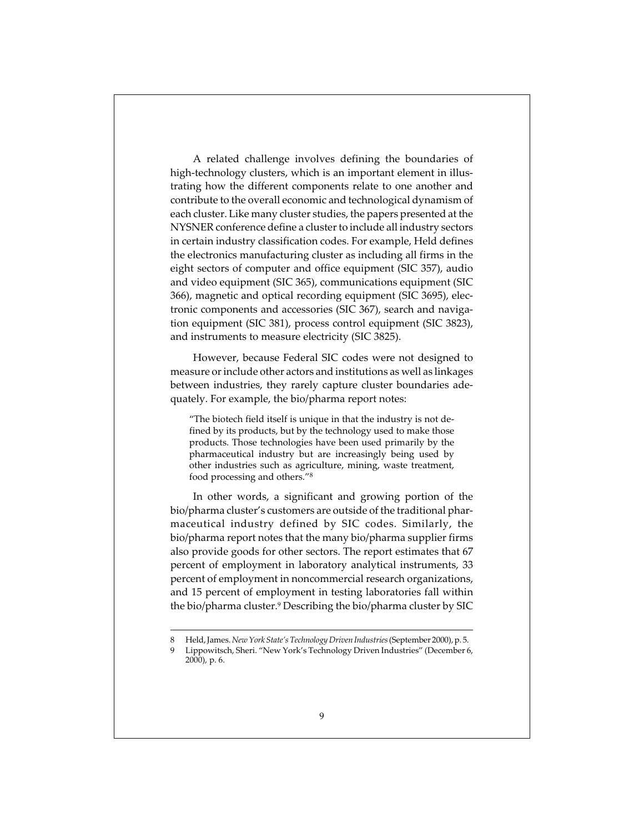A related challenge involves defining the boundaries of high-technology clusters, which is an important element in illustrating how the different components relate to one another and contribute to the overall economic and technological dynamism of each cluster. Like many cluster studies, the papers presented at the NYSNER conference define a cluster to include all industry sectors in certain industry classification codes. For example, Held defines the electronics manufacturing cluster as including all firms in the eight sectors of computer and office equipment (SIC 357), audio and video equipment (SIC 365), communications equipment (SIC 366), magnetic and optical recording equipment (SIC 3695), electronic components and accessories (SIC 367), search and navigation equipment (SIC 381), process control equipment (SIC 3823), and instruments to measure electricity (SIC 3825).

However, because Federal SIC codes were not designed to measure or include other actors and institutions as well as linkages between industries, they rarely capture cluster boundaries adequately. For example, the bio/pharma report notes:

"The biotech field itself is unique in that the industry is not defined by its products, but by the technology used to make those products. Those technologies have been used primarily by the pharmaceutical industry but are increasingly being used by other industries such as agriculture, mining, waste treatment, food processing and others."<sup>8</sup>

In other words, a significant and growing portion of the bio/pharma cluster's customers are outside of the traditional pharmaceutical industry defined by SIC codes. Similarly, the bio/pharma report notes that the many bio/pharma supplier firms also provide goods for other sectors. The report estimates that 67 percent of employment in laboratory analytical instruments, 33 percent of employment in noncommercial research organizations, and 15 percent of employment in testing laboratories fall within the bio/pharma cluster.<sup>9</sup> Describing the bio/pharma cluster by SIC

<sup>8</sup> Held, James.*New York State's Technology Driven Industries*(September 2000), p. 5.

Lippowitsch, Sheri. "New York's Technology Driven Industries" (December 6, 2000), p. 6.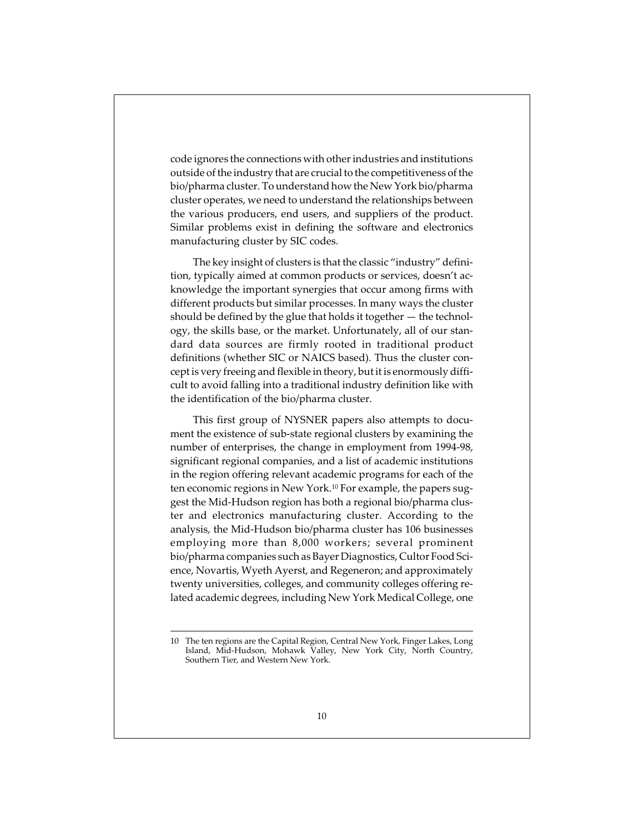code ignores the connections with other industries and institutions outside of the industry that are crucial to the competitiveness of the bio/pharma cluster. To understand how the New York bio/pharma cluster operates, we need to understand the relationships between the various producers, end users, and suppliers of the product. Similar problems exist in defining the software and electronics manufacturing cluster by SIC codes.

The key insight of clusters is that the classic "industry" definition, typically aimed at common products or services, doesn't acknowledge the important synergies that occur among firms with different products but similar processes. In many ways the cluster should be defined by the glue that holds it together — the technology, the skills base, or the market. Unfortunately, all of our standard data sources are firmly rooted in traditional product definitions (whether SIC or NAICS based). Thus the cluster concept is very freeing and flexible in theory, but it is enormously difficult to avoid falling into a traditional industry definition like with the identification of the bio/pharma cluster.

This first group of NYSNER papers also attempts to document the existence of sub-state regional clusters by examining the number of enterprises, the change in employment from 1994-98, significant regional companies, and a list of academic institutions in the region offering relevant academic programs for each of the ten economic regions in New York.<sup>10</sup> For example, the papers suggest the Mid-Hudson region has both a regional bio/pharma cluster and electronics manufacturing cluster. According to the analysis, the Mid-Hudson bio/pharma cluster has 106 businesses employing more than 8,000 workers; several prominent bio/pharma companies such as Bayer Diagnostics, Cultor Food Science, Novartis, Wyeth Ayerst, and Regeneron; and approximately twenty universities, colleges, and community colleges offering related academic degrees, including New York Medical College, one

<sup>10</sup> The ten regions are the Capital Region, Central New York, Finger Lakes, Long Island, Mid-Hudson, Mohawk Valley, New York City, North Country, Southern Tier, and Western New York.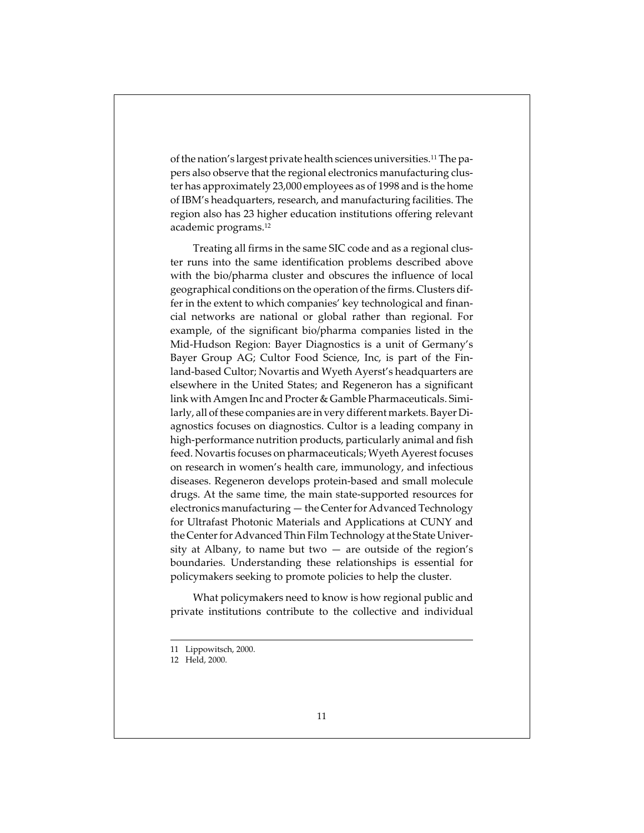of the nation's largest private health sciences universities.<sup>11</sup> The papers also observe that the regional electronics manufacturing cluster has approximately 23,000 employees as of 1998 and is the home of IBM's headquarters, research, and manufacturing facilities. The region also has 23 higher education institutions offering relevant academic programs.<sup>12</sup>

Treating all firms in the same SIC code and as a regional cluster runs into the same identification problems described above with the bio/pharma cluster and obscures the influence of local geographical conditions on the operation of the firms. Clusters differ in the extent to which companies' key technological and financial networks are national or global rather than regional. For example, of the significant bio/pharma companies listed in the Mid-Hudson Region: Bayer Diagnostics is a unit of Germany's Bayer Group AG; Cultor Food Science, Inc, is part of the Finland-based Cultor; Novartis and Wyeth Ayerst's headquarters are elsewhere in the United States; and Regeneron has a significant link with Amgen Inc and Procter & Gamble Pharmaceuticals. Similarly, all of these companies are in very different markets. Bayer Diagnostics focuses on diagnostics. Cultor is a leading company in high-performance nutrition products, particularly animal and fish feed. Novartis focuses on pharmaceuticals; Wyeth Ayerest focuses on research in women's health care, immunology, and infectious diseases. Regeneron develops protein-based and small molecule drugs. At the same time, the main state-supported resources for electronics manufacturing — the Center for Advanced Technology for Ultrafast Photonic Materials and Applications at CUNY and the Center for Advanced Thin Film Technology at the State University at Albany, to name but two  $-$  are outside of the region's boundaries. Understanding these relationships is essential for policymakers seeking to promote policies to help the cluster.

What policymakers need to know is how regional public and private institutions contribute to the collective and individual

<sup>11</sup> Lippowitsch, 2000.

<sup>12</sup> Held, 2000.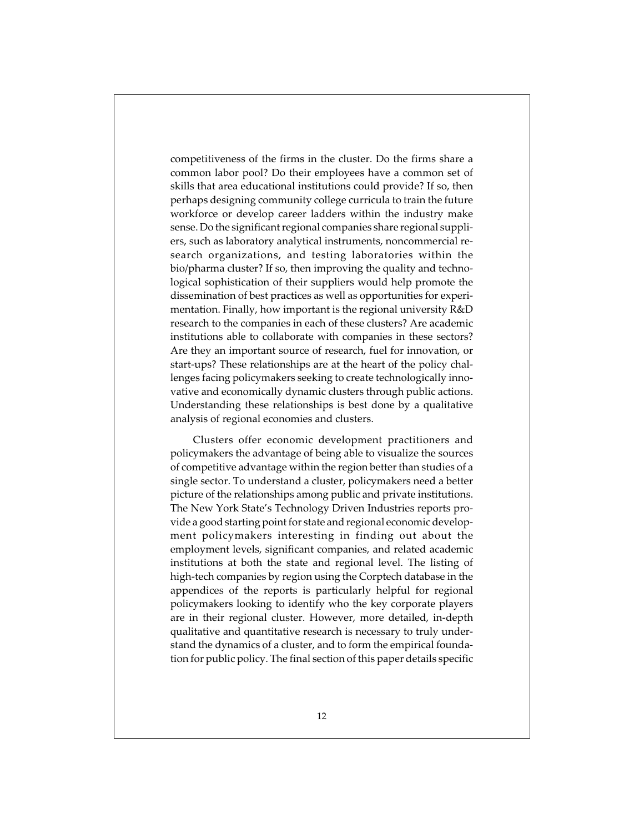competitiveness of the firms in the cluster. Do the firms share a common labor pool? Do their employees have a common set of skills that area educational institutions could provide? If so, then perhaps designing community college curricula to train the future workforce or develop career ladders within the industry make sense. Do the significant regional companies share regional suppliers, such as laboratory analytical instruments, noncommercial research organizations, and testing laboratories within the bio/pharma cluster? If so, then improving the quality and technological sophistication of their suppliers would help promote the dissemination of best practices as well as opportunities for experimentation. Finally, how important is the regional university R&D research to the companies in each of these clusters? Are academic institutions able to collaborate with companies in these sectors? Are they an important source of research, fuel for innovation, or start-ups? These relationships are at the heart of the policy challenges facing policymakers seeking to create technologically innovative and economically dynamic clusters through public actions. Understanding these relationships is best done by a qualitative analysis of regional economies and clusters.

Clusters offer economic development practitioners and policymakers the advantage of being able to visualize the sources of competitive advantage within the region better than studies of a single sector. To understand a cluster, policymakers need a better picture of the relationships among public and private institutions. The New York State's Technology Driven Industries reports provide a good starting point for state and regional economic development policymakers interesting in finding out about the employment levels, significant companies, and related academic institutions at both the state and regional level. The listing of high-tech companies by region using the Corptech database in the appendices of the reports is particularly helpful for regional policymakers looking to identify who the key corporate players are in their regional cluster. However, more detailed, in-depth qualitative and quantitative research is necessary to truly understand the dynamics of a cluster, and to form the empirical foundation for public policy. The final section of this paper details specific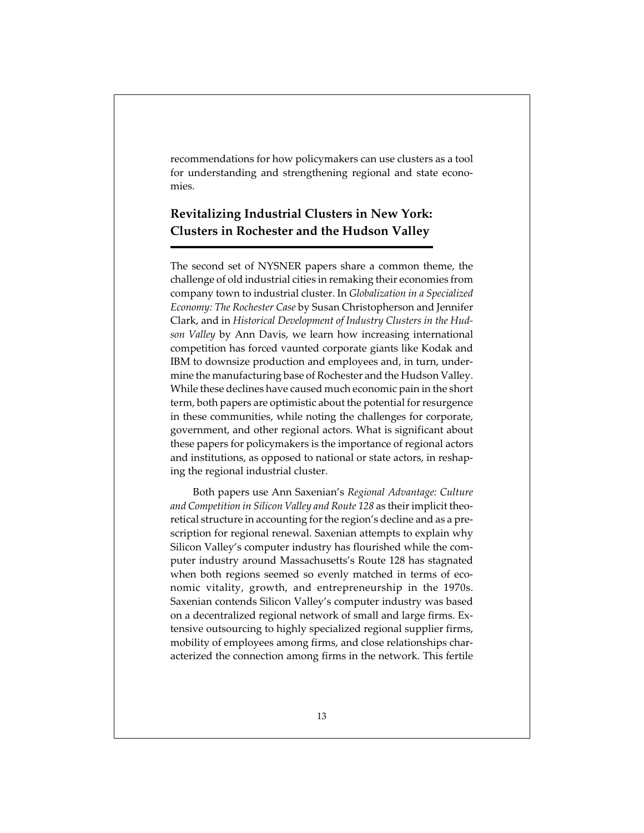recommendations for how policymakers can use clusters as a tool for understanding and strengthening regional and state economies.

# **Revitalizing Industrial Clusters in New York: Clusters in Rochester and the Hudson Valley**

The second set of NYSNER papers share a common theme, the challenge of old industrial cities in remaking their economies from company town to industrial cluster. In *Globalization in a Specialized Economy: The Rochester Case* by Susan Christopherson and Jennifer Clark, and in *Historical Development of Industry Clusters in the Hudson Valley* by Ann Davis, we learn how increasing international competition has forced vaunted corporate giants like Kodak and IBM to downsize production and employees and, in turn, undermine the manufacturing base of Rochester and the Hudson Valley. While these declines have caused much economic pain in the short term, both papers are optimistic about the potential for resurgence in these communities, while noting the challenges for corporate, government, and other regional actors. What is significant about these papers for policymakers is the importance of regional actors and institutions, as opposed to national or state actors, in reshaping the regional industrial cluster.

Both papers use Ann Saxenian's *Regional Advantage: Culture and Competition in Silicon Valley and Route 128* as their implicit theoretical structure in accounting for the region's decline and as a prescription for regional renewal. Saxenian attempts to explain why Silicon Valley's computer industry has flourished while the computer industry around Massachusetts's Route 128 has stagnated when both regions seemed so evenly matched in terms of economic vitality, growth, and entrepreneurship in the 1970s. Saxenian contends Silicon Valley's computer industry was based on a decentralized regional network of small and large firms. Extensive outsourcing to highly specialized regional supplier firms, mobility of employees among firms, and close relationships characterized the connection among firms in the network. This fertile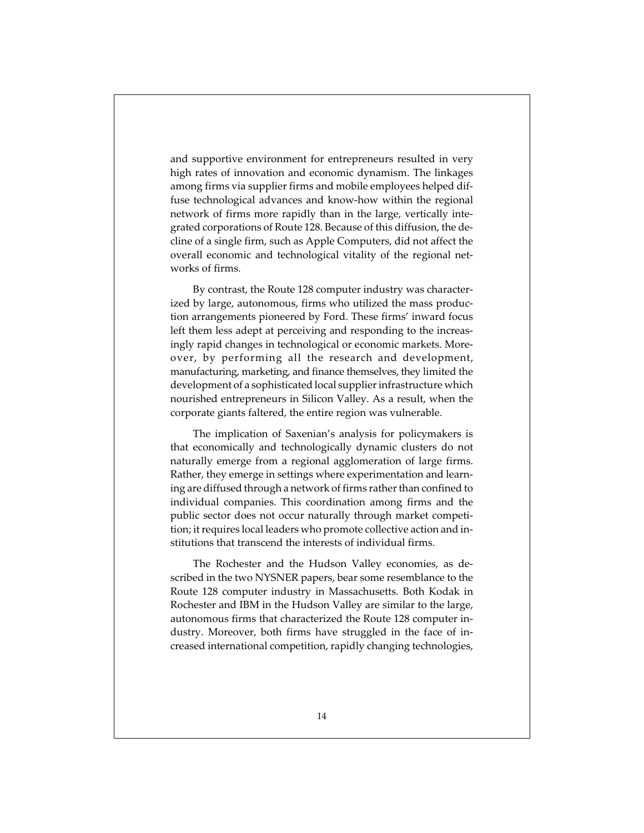and supportive environment for entrepreneurs resulted in very high rates of innovation and economic dynamism. The linkages among firms via supplier firms and mobile employees helped diffuse technological advances and know-how within the regional network of firms more rapidly than in the large, vertically integrated corporations of Route 128. Because of this diffusion, the decline of a single firm, such as Apple Computers, did not affect the overall economic and technological vitality of the regional networks of firms.

By contrast, the Route 128 computer industry was characterized by large, autonomous, firms who utilized the mass production arrangements pioneered by Ford. These firms' inward focus left them less adept at perceiving and responding to the increasingly rapid changes in technological or economic markets. Moreover, by performing all the research and development, manufacturing, marketing, and finance themselves, they limited the development of a sophisticated local supplier infrastructure which nourished entrepreneurs in Silicon Valley. As a result, when the corporate giants faltered, the entire region was vulnerable.

The implication of Saxenian's analysis for policymakers is that economically and technologically dynamic clusters do not naturally emerge from a regional agglomeration of large firms. Rather, they emerge in settings where experimentation and learning are diffused through a network of firms rather than confined to individual companies. This coordination among firms and the public sector does not occur naturally through market competition; it requires local leaders who promote collective action and institutions that transcend the interests of individual firms.

The Rochester and the Hudson Valley economies, as described in the two NYSNER papers, bear some resemblance to the Route 128 computer industry in Massachusetts. Both Kodak in Rochester and IBM in the Hudson Valley are similar to the large, autonomous firms that characterized the Route 128 computer industry. Moreover, both firms have struggled in the face of increased international competition, rapidly changing technologies,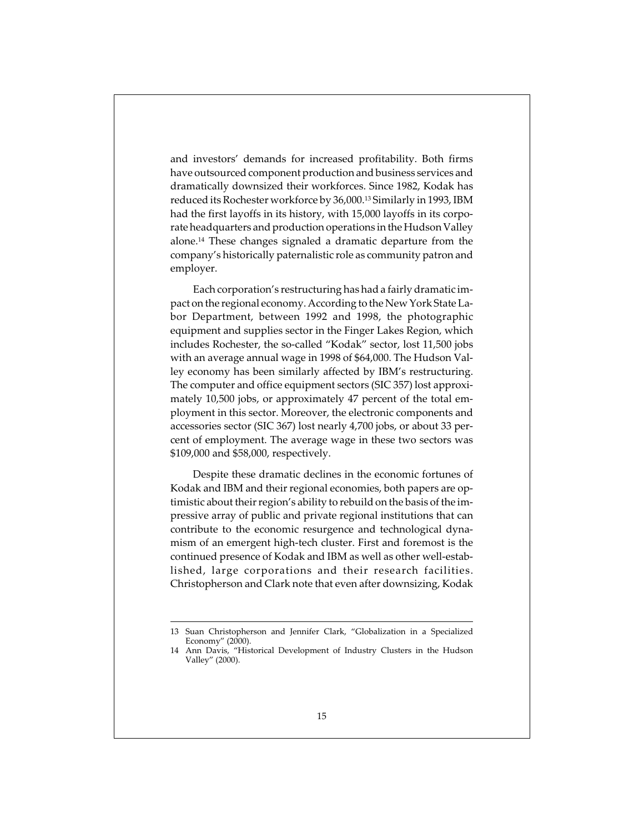and investors' demands for increased profitability. Both firms have outsourced component production and business services and dramatically downsized their workforces. Since 1982, Kodak has reduced its Rochester workforce by 36,000.<sup>13</sup> Similarly in 1993, IBM had the first layoffs in its history, with 15,000 layoffs in its corporate headquarters and production operations in the Hudson Valley alone.<sup>14</sup> These changes signaled a dramatic departure from the company's historically paternalistic role as community patron and employer.

Each corporation's restructuring has had a fairly dramatic impact on the regional economy. According to the New York State Labor Department, between 1992 and 1998, the photographic equipment and supplies sector in the Finger Lakes Region, which includes Rochester, the so-called "Kodak" sector, lost 11,500 jobs with an average annual wage in 1998 of \$64,000. The Hudson Valley economy has been similarly affected by IBM's restructuring. The computer and office equipment sectors (SIC 357) lost approximately 10,500 jobs, or approximately 47 percent of the total employment in this sector. Moreover, the electronic components and accessories sector (SIC 367) lost nearly 4,700 jobs, or about 33 percent of employment. The average wage in these two sectors was \$109,000 and \$58,000, respectively.

Despite these dramatic declines in the economic fortunes of Kodak and IBM and their regional economies, both papers are optimistic about their region's ability to rebuild on the basis of the impressive array of public and private regional institutions that can contribute to the economic resurgence and technological dynamism of an emergent high-tech cluster. First and foremost is the continued presence of Kodak and IBM as well as other well-established, large corporations and their research facilities. Christopherson and Clark note that even after downsizing, Kodak

<sup>13</sup> Suan Christopherson and Jennifer Clark, "Globalization in a Specialized Economy" (2000).

<sup>14</sup> Ann Davis, "Historical Development of Industry Clusters in the Hudson Valley" (2000).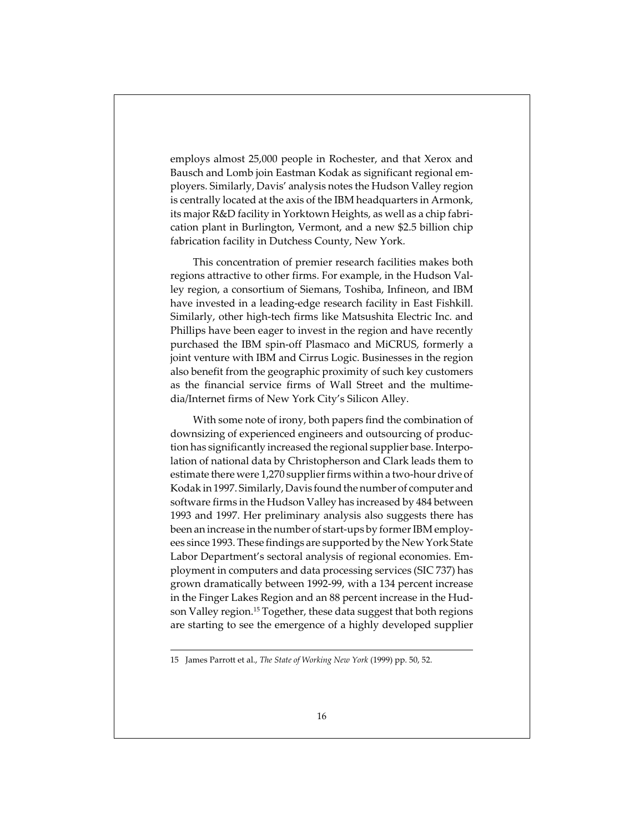employs almost 25,000 people in Rochester, and that Xerox and Bausch and Lomb join Eastman Kodak as significant regional employers. Similarly, Davis' analysis notes the Hudson Valley region is centrally located at the axis of the IBM headquarters in Armonk, its major R&D facility in Yorktown Heights, as well as a chip fabrication plant in Burlington, Vermont, and a new \$2.5 billion chip fabrication facility in Dutchess County, New York.

This concentration of premier research facilities makes both regions attractive to other firms. For example, in the Hudson Valley region, a consortium of Siemans, Toshiba, Infineon, and IBM have invested in a leading-edge research facility in East Fishkill. Similarly, other high-tech firms like Matsushita Electric Inc. and Phillips have been eager to invest in the region and have recently purchased the IBM spin-off Plasmaco and MiCRUS, formerly a joint venture with IBM and Cirrus Logic. Businesses in the region also benefit from the geographic proximity of such key customers as the financial service firms of Wall Street and the multimedia/Internet firms of New York City's Silicon Alley.

With some note of irony, both papers find the combination of downsizing of experienced engineers and outsourcing of production has significantly increased the regional supplier base. Interpolation of national data by Christopherson and Clark leads them to estimate there were 1,270 supplier firms within a two-hour drive of Kodak in 1997. Similarly, Davis found the number of computer and software firms in the Hudson Valley has increased by 484 between 1993 and 1997. Her preliminary analysis also suggests there has been an increase in the number of start-ups by former IBM employees since 1993. These findings are supported by the New York State Labor Department's sectoral analysis of regional economies. Employment in computers and data processing services (SIC 737) has grown dramatically between 1992-99, with a 134 percent increase in the Finger Lakes Region and an 88 percent increase in the Hudson Valley region.<sup>15</sup> Together, these data suggest that both regions are starting to see the emergence of a highly developed supplier

<sup>15</sup> James Parrott et al., *The State of Working New York* (1999) pp. 50, 52.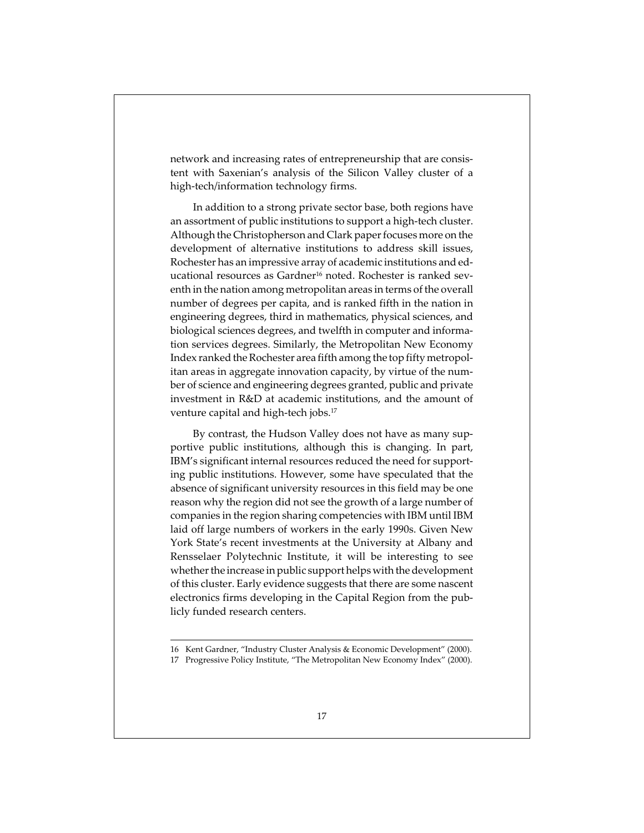network and increasing rates of entrepreneurship that are consistent with Saxenian's analysis of the Silicon Valley cluster of a high-tech/information technology firms.

In addition to a strong private sector base, both regions have an assortment of public institutions to support a high-tech cluster. Although the Christopherson and Clark paper focuses more on the development of alternative institutions to address skill issues, Rochester has an impressive array of academic institutions and educational resources as Gardner<sup>16</sup> noted. Rochester is ranked seventh in the nation among metropolitan areas in terms of the overall number of degrees per capita, and is ranked fifth in the nation in engineering degrees, third in mathematics, physical sciences, and biological sciences degrees, and twelfth in computer and information services degrees. Similarly, the Metropolitan New Economy Index ranked the Rochester area fifth among the top fifty metropolitan areas in aggregate innovation capacity, by virtue of the number of science and engineering degrees granted, public and private investment in R&D at academic institutions, and the amount of venture capital and high-tech jobs.<sup>17</sup>

By contrast, the Hudson Valley does not have as many supportive public institutions, although this is changing. In part, IBM's significant internal resources reduced the need for supporting public institutions. However, some have speculated that the absence of significant university resources in this field may be one reason why the region did not see the growth of a large number of companies in the region sharing competencies with IBM until IBM laid off large numbers of workers in the early 1990s. Given New York State's recent investments at the University at Albany and Rensselaer Polytechnic Institute, it will be interesting to see whether the increase in public support helps with the development of this cluster. Early evidence suggests that there are some nascent electronics firms developing in the Capital Region from the publicly funded research centers.

<sup>16</sup> Kent Gardner, "Industry Cluster Analysis & Economic Development" (2000).

<sup>17</sup> Progressive Policy Institute, "The Metropolitan New Economy Index" (2000).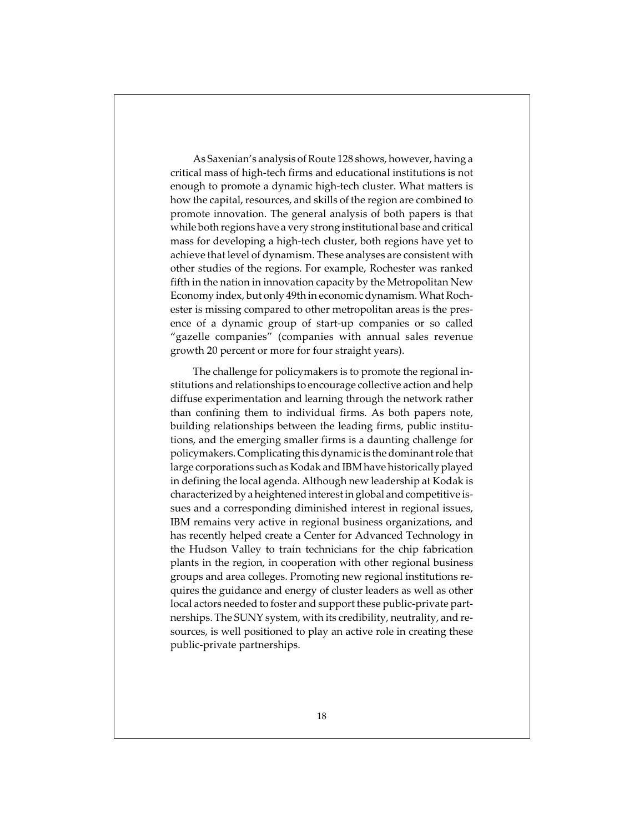As Saxenian's analysis of Route 128 shows, however, having a critical mass of high-tech firms and educational institutions is not enough to promote a dynamic high-tech cluster. What matters is how the capital, resources, and skills of the region are combined to promote innovation. The general analysis of both papers is that while both regions have a very strong institutional base and critical mass for developing a high-tech cluster, both regions have yet to achieve that level of dynamism. These analyses are consistent with other studies of the regions. For example, Rochester was ranked fifth in the nation in innovation capacity by the Metropolitan New Economy index, but only 49th in economic dynamism. What Rochester is missing compared to other metropolitan areas is the presence of a dynamic group of start-up companies or so called "gazelle companies" (companies with annual sales revenue growth 20 percent or more for four straight years).

The challenge for policymakers is to promote the regional institutions and relationships to encourage collective action and help diffuse experimentation and learning through the network rather than confining them to individual firms. As both papers note, building relationships between the leading firms, public institutions, and the emerging smaller firms is a daunting challenge for policymakers. Complicating this dynamic is the dominant role that large corporations such as Kodak and IBM have historically played in defining the local agenda. Although new leadership at Kodak is characterized by a heightened interest in global and competitive issues and a corresponding diminished interest in regional issues, IBM remains very active in regional business organizations, and has recently helped create a Center for Advanced Technology in the Hudson Valley to train technicians for the chip fabrication plants in the region, in cooperation with other regional business groups and area colleges. Promoting new regional institutions requires the guidance and energy of cluster leaders as well as other local actors needed to foster and support these public-private partnerships. The SUNY system, with its credibility, neutrality, and resources, is well positioned to play an active role in creating these public-private partnerships.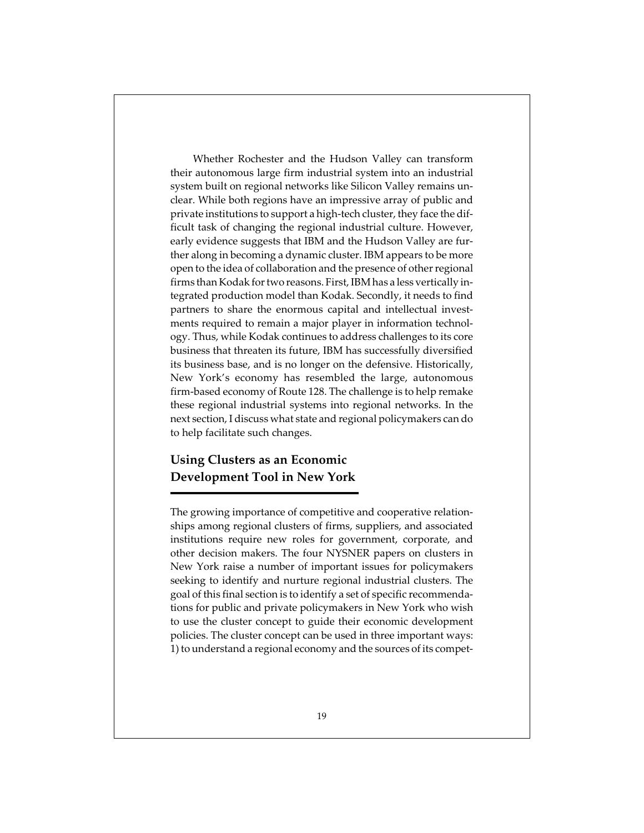Whether Rochester and the Hudson Valley can transform their autonomous large firm industrial system into an industrial system built on regional networks like Silicon Valley remains unclear. While both regions have an impressive array of public and private institutions to support a high-tech cluster, they face the difficult task of changing the regional industrial culture. However, early evidence suggests that IBM and the Hudson Valley are further along in becoming a dynamic cluster. IBM appears to be more open to the idea of collaboration and the presence of other regional firms than Kodak for two reasons. First, IBM has a less vertically integrated production model than Kodak. Secondly, it needs to find partners to share the enormous capital and intellectual investments required to remain a major player in information technology. Thus, while Kodak continues to address challenges to its core business that threaten its future, IBM has successfully diversified its business base, and is no longer on the defensive. Historically, New York's economy has resembled the large, autonomous firm-based economy of Route 128. The challenge is to help remake these regional industrial systems into regional networks. In the next section, I discuss what state and regional policymakers can do to help facilitate such changes.

## **Using Clusters as an Economic Development Tool in New York**

The growing importance of competitive and cooperative relationships among regional clusters of firms, suppliers, and associated institutions require new roles for government, corporate, and other decision makers. The four NYSNER papers on clusters in New York raise a number of important issues for policymakers seeking to identify and nurture regional industrial clusters. The goal of this final section is to identify a set of specific recommendations for public and private policymakers in New York who wish to use the cluster concept to guide their economic development policies. The cluster concept can be used in three important ways: 1) to understand a regional economy and the sources of its compet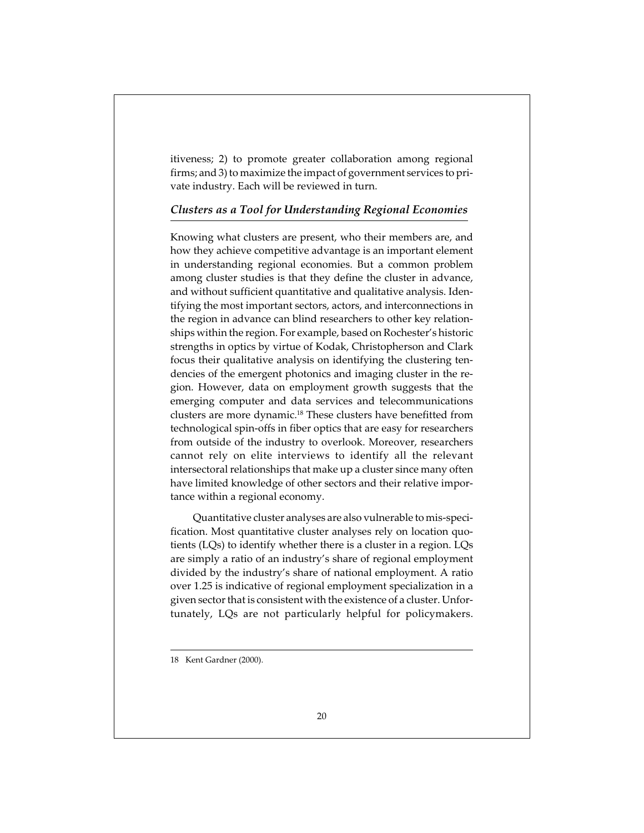itiveness; 2) to promote greater collaboration among regional firms; and 3) to maximize the impact of government services to private industry. Each will be reviewed in turn.

#### *Clusters as a Tool for Understanding Regional Economies*

Knowing what clusters are present, who their members are, and how they achieve competitive advantage is an important element in understanding regional economies. But a common problem among cluster studies is that they define the cluster in advance, and without sufficient quantitative and qualitative analysis. Identifying the most important sectors, actors, and interconnections in the region in advance can blind researchers to other key relationships within the region. For example, based on Rochester's historic strengths in optics by virtue of Kodak, Christopherson and Clark focus their qualitative analysis on identifying the clustering tendencies of the emergent photonics and imaging cluster in the region. However, data on employment growth suggests that the emerging computer and data services and telecommunications clusters are more dynamic.<sup>18</sup> These clusters have benefitted from technological spin-offs in fiber optics that are easy for researchers from outside of the industry to overlook. Moreover, researchers cannot rely on elite interviews to identify all the relevant intersectoral relationships that make up a cluster since many often have limited knowledge of other sectors and their relative importance within a regional economy.

Quantitative cluster analyses are also vulnerable to mis-specification. Most quantitative cluster analyses rely on location quotients (LQs) to identify whether there is a cluster in a region. LQs are simply a ratio of an industry's share of regional employment divided by the industry's share of national employment. A ratio over 1.25 is indicative of regional employment specialization in a given sector that is consistent with the existence of a cluster. Unfortunately, LQs are not particularly helpful for policymakers.

<sup>18</sup> Kent Gardner (2000).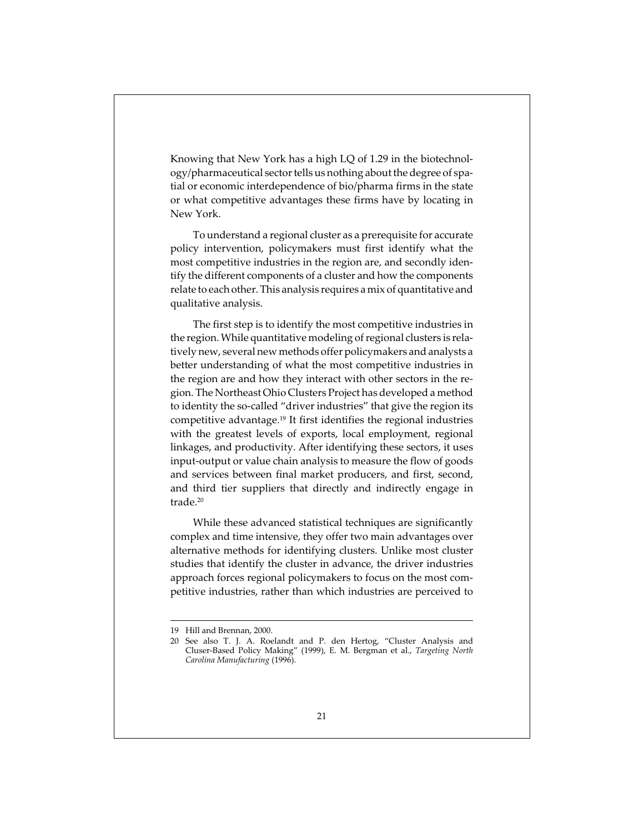Knowing that New York has a high LQ of 1.29 in the biotechnology/pharmaceutical sector tells us nothing about the degree of spatial or economic interdependence of bio/pharma firms in the state or what competitive advantages these firms have by locating in New York.

To understand a regional cluster as a prerequisite for accurate policy intervention, policymakers must first identify what the most competitive industries in the region are, and secondly identify the different components of a cluster and how the components relate to each other. This analysis requires a mix of quantitative and qualitative analysis.

The first step is to identify the most competitive industries in the region. While quantitative modeling of regional clusters is relatively new, several new methods offer policymakers and analysts a better understanding of what the most competitive industries in the region are and how they interact with other sectors in the region. The Northeast Ohio Clusters Project has developed a method to identity the so-called "driver industries" that give the region its competitive advantage.<sup>19</sup> It first identifies the regional industries with the greatest levels of exports, local employment, regional linkages, and productivity. After identifying these sectors, it uses input-output or value chain analysis to measure the flow of goods and services between final market producers, and first, second, and third tier suppliers that directly and indirectly engage in trade.<sup>20</sup>

While these advanced statistical techniques are significantly complex and time intensive, they offer two main advantages over alternative methods for identifying clusters. Unlike most cluster studies that identify the cluster in advance, the driver industries approach forces regional policymakers to focus on the most competitive industries, rather than which industries are perceived to

<sup>19</sup> Hill and Brennan, 2000.

<sup>20</sup> See also T. J. A. Roelandt and P. den Hertog, "Cluster Analysis and Cluser-Based Policy Making" (1999), E. M. Bergman et al., *Targeting North Carolina Manufacturing* (1996).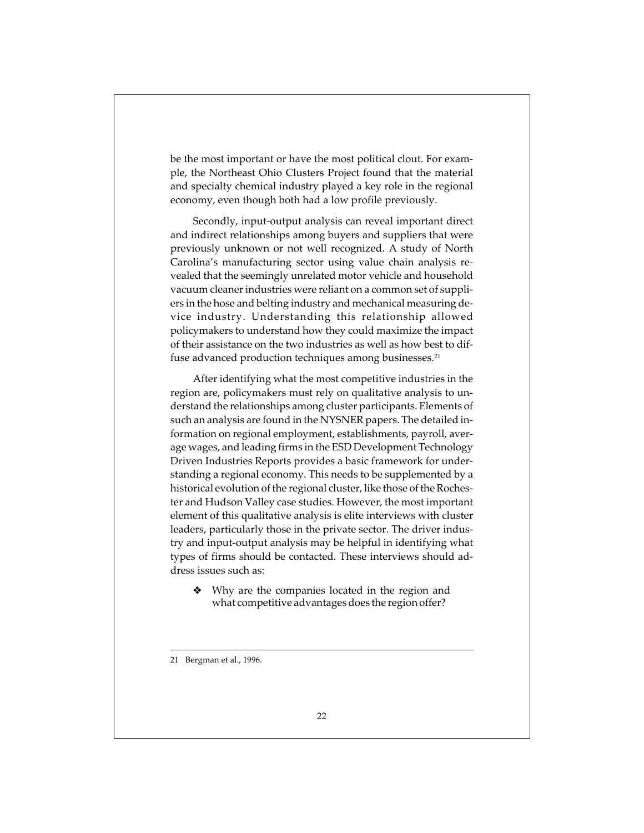be the most important or have the most political clout. For example, the Northeast Ohio Clusters Project found that the material and specialty chemical industry played a key role in the regional economy, even though both had a low profile previously.

Secondly, input-output analysis can reveal important direct and indirect relationships among buyers and suppliers that were previously unknown or not well recognized. A study of North Carolina's manufacturing sector using value chain analysis revealed that the seemingly unrelated motor vehicle and household vacuum cleaner industries were reliant on a common set of suppliers in the hose and belting industry and mechanical measuring device industry. Understanding this relationship allowed policymakers to understand how they could maximize the impact of their assistance on the two industries as well as how best to diffuse advanced production techniques among businesses.<sup>21</sup>

After identifying what the most competitive industries in the region are, policymakers must rely on qualitative analysis to understand the relationships among cluster participants. Elements of such an analysis are found in the NYSNER papers. The detailed information on regional employment, establishments, payroll, average wages, and leading firms in the ESD Development Technology Driven Industries Reports provides a basic framework for understanding a regional economy. This needs to be supplemented by a historical evolution of the regional cluster, like those of the Rochester and Hudson Valley case studies. However, the most important element of this qualitative analysis is elite interviews with cluster leaders, particularly those in the private sector. The driver industry and input-output analysis may be helpful in identifying what types of firms should be contacted. These interviews should address issues such as:

• Why are the companies located in the region and what competitive advantages does the region offer?

<sup>21</sup> Bergman et al., 1996.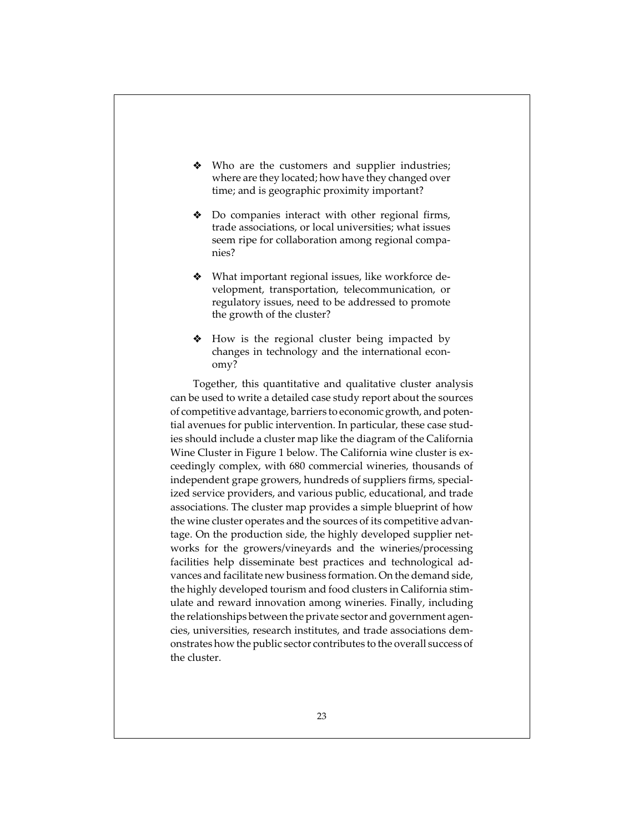- Who are the customers and supplier industries; where are they located; how have they changed over time; and is geographic proximity important?
- $\bullet$  Do companies interact with other regional firms, trade associations, or local universities; what issues seem ripe for collaboration among regional companies?
- What important regional issues, like workforce development, transportation, telecommunication, or regulatory issues, need to be addressed to promote the growth of the cluster?
- How is the regional cluster being impacted by changes in technology and the international economy?

Together, this quantitative and qualitative cluster analysis can be used to write a detailed case study report about the sources of competitive advantage, barriers to economic growth, and potential avenues for public intervention. In particular, these case studies should include a cluster map like the diagram of the California Wine Cluster in Figure 1 below. The California wine cluster is exceedingly complex, with 680 commercial wineries, thousands of independent grape growers, hundreds of suppliers firms, specialized service providers, and various public, educational, and trade associations. The cluster map provides a simple blueprint of how the wine cluster operates and the sources of its competitive advantage. On the production side, the highly developed supplier networks for the growers/vineyards and the wineries/processing facilities help disseminate best practices and technological advances and facilitate new business formation. On the demand side, the highly developed tourism and food clusters in California stimulate and reward innovation among wineries. Finally, including the relationships between the private sector and government agencies, universities, research institutes, and trade associations demonstrates how the public sector contributes to the overall success of the cluster.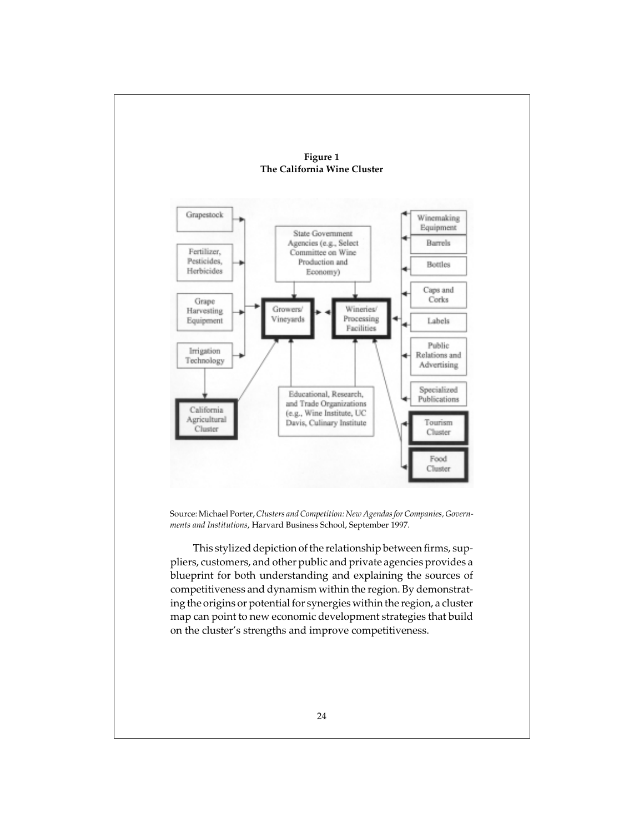

Source: Michael Porter,*Clusters and Competition: New Agendas for Companies, Governments and Institutions*, Harvard Business School, September 1997.

This stylized depiction of the relationship between firms, suppliers, customers, and other public and private agencies provides a blueprint for both understanding and explaining the sources of competitiveness and dynamism within the region. By demonstrating the origins or potential for synergies within the region, a cluster map can point to new economic development strategies that build on the cluster's strengths and improve competitiveness.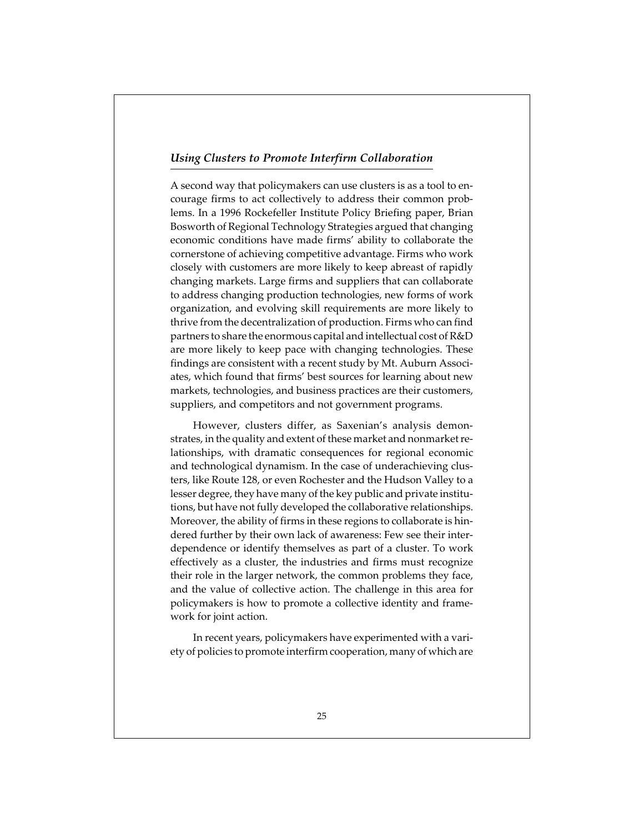#### *Using Clusters to Promote Interfirm Collaboration*

A second way that policymakers can use clusters is as a tool to encourage firms to act collectively to address their common problems. In a 1996 Rockefeller Institute Policy Briefing paper, Brian Bosworth of Regional Technology Strategies argued that changing economic conditions have made firms' ability to collaborate the cornerstone of achieving competitive advantage. Firms who work closely with customers are more likely to keep abreast of rapidly changing markets. Large firms and suppliers that can collaborate to address changing production technologies, new forms of work organization, and evolving skill requirements are more likely to thrive from the decentralization of production. Firms who can find partners to share the enormous capital and intellectual cost of R&D are more likely to keep pace with changing technologies. These findings are consistent with a recent study by Mt. Auburn Associates, which found that firms' best sources for learning about new markets, technologies, and business practices are their customers, suppliers, and competitors and not government programs.

However, clusters differ, as Saxenian's analysis demonstrates, in the quality and extent of these market and nonmarket relationships, with dramatic consequences for regional economic and technological dynamism. In the case of underachieving clusters, like Route 128, or even Rochester and the Hudson Valley to a lesser degree, they have many of the key public and private institutions, but have not fully developed the collaborative relationships. Moreover, the ability of firms in these regions to collaborate is hindered further by their own lack of awareness: Few see their interdependence or identify themselves as part of a cluster. To work effectively as a cluster, the industries and firms must recognize their role in the larger network, the common problems they face, and the value of collective action. The challenge in this area for policymakers is how to promote a collective identity and framework for joint action.

In recent years, policymakers have experimented with a variety of policies to promote interfirm cooperation, many of which are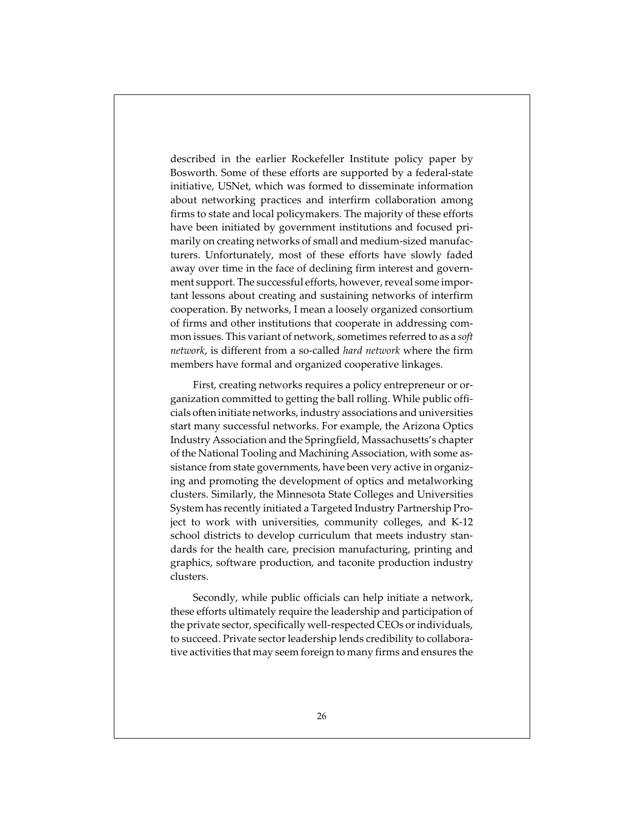described in the earlier Rockefeller Institute policy paper by Bosworth. Some of these efforts are supported by a federal-state initiative, USNet, which was formed to disseminate information about networking practices and interfirm collaboration among firms to state and local policymakers. The majority of these efforts have been initiated by government institutions and focused primarily on creating networks of small and medium-sized manufacturers. Unfortunately, most of these efforts have slowly faded away over time in the face of declining firm interest and government support. The successful efforts, however, reveal some important lessons about creating and sustaining networks of interfirm cooperation. By networks, I mean a loosely organized consortium of firms and other institutions that cooperate in addressing common issues. This variant of network, sometimes referred to as a *soft network*, is different from a so-called *hard network* where the firm members have formal and organized cooperative linkages.

First, creating networks requires a policy entrepreneur or organization committed to getting the ball rolling. While public officials often initiate networks, industry associations and universities start many successful networks. For example, the Arizona Optics Industry Association and the Springfield, Massachusetts's chapter of the National Tooling and Machining Association, with some assistance from state governments, have been very active in organizing and promoting the development of optics and metalworking clusters. Similarly, the Minnesota State Colleges and Universities System has recently initiated a Targeted Industry Partnership Project to work with universities, community colleges, and K-12 school districts to develop curriculum that meets industry standards for the health care, precision manufacturing, printing and graphics, software production, and taconite production industry clusters.

Secondly, while public officials can help initiate a network, these efforts ultimately require the leadership and participation of the private sector, specifically well-respected CEOs or individuals, to succeed. Private sector leadership lends credibility to collaborative activities that may seem foreign to many firms and ensures the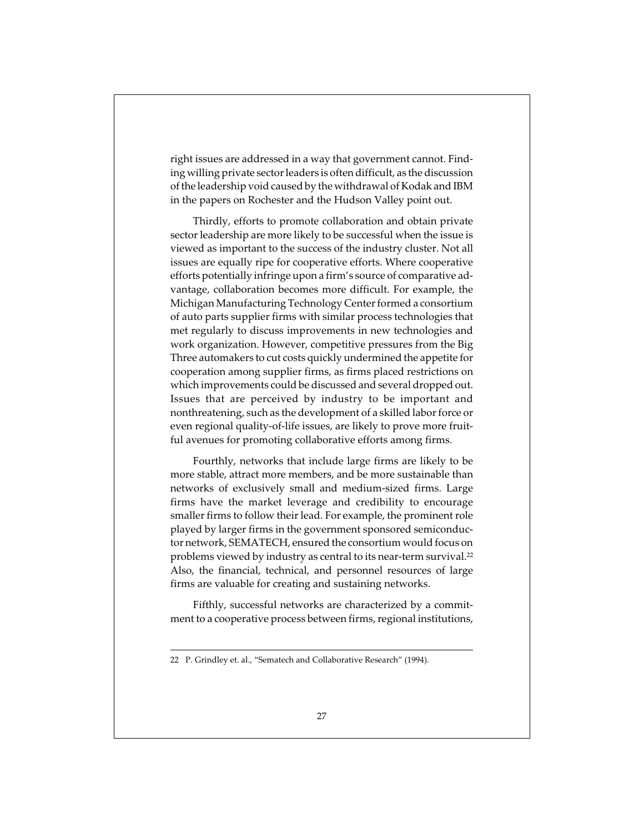right issues are addressed in a way that government cannot. Finding willing private sector leaders is often difficult, as the discussion of the leadership void caused by the withdrawal of Kodak and IBM in the papers on Rochester and the Hudson Valley point out.

Thirdly, efforts to promote collaboration and obtain private sector leadership are more likely to be successful when the issue is viewed as important to the success of the industry cluster. Not all issues are equally ripe for cooperative efforts. Where cooperative efforts potentially infringe upon a firm's source of comparative advantage, collaboration becomes more difficult. For example, the Michigan Manufacturing Technology Center formed a consortium of auto parts supplier firms with similar process technologies that met regularly to discuss improvements in new technologies and work organization. However, competitive pressures from the Big Three automakers to cut costs quickly undermined the appetite for cooperation among supplier firms, as firms placed restrictions on which improvements could be discussed and several dropped out. Issues that are perceived by industry to be important and nonthreatening, such as the development of a skilled labor force or even regional quality-of-life issues, are likely to prove more fruitful avenues for promoting collaborative efforts among firms.

Fourthly, networks that include large firms are likely to be more stable, attract more members, and be more sustainable than networks of exclusively small and medium-sized firms. Large firms have the market leverage and credibility to encourage smaller firms to follow their lead. For example, the prominent role played by larger firms in the government sponsored semiconductor network, SEMATECH, ensured the consortium would focus on problems viewed by industry as central to its near-term survival.<sup>22</sup> Also, the financial, technical, and personnel resources of large firms are valuable for creating and sustaining networks.

Fifthly, successful networks are characterized by a commitment to a cooperative process between firms, regional institutions,

<sup>22</sup> P. Grindley et. al., "Sematech and Collaborative Research" (1994).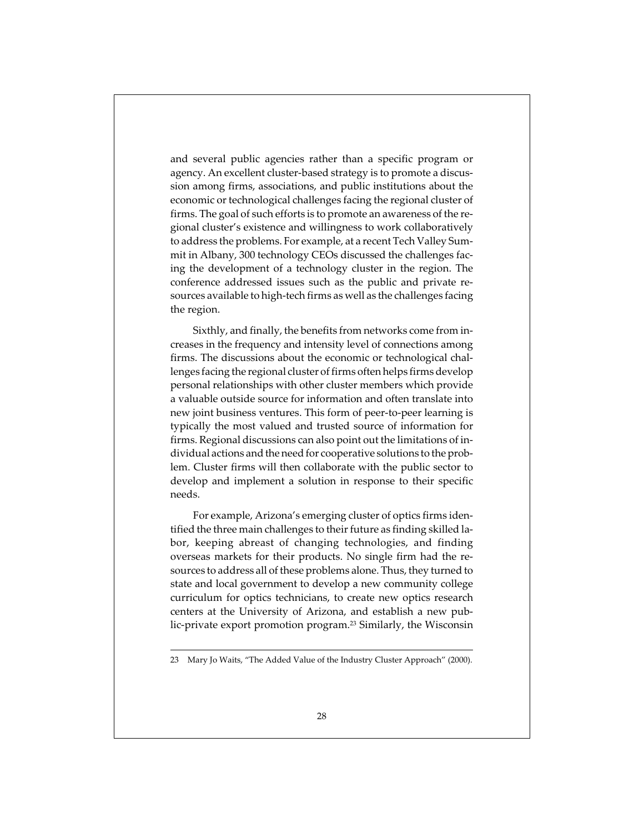and several public agencies rather than a specific program or agency. An excellent cluster-based strategy is to promote a discussion among firms, associations, and public institutions about the economic or technological challenges facing the regional cluster of firms. The goal of such efforts is to promote an awareness of the regional cluster's existence and willingness to work collaboratively to address the problems. For example, at a recent Tech Valley Summit in Albany, 300 technology CEOs discussed the challenges facing the development of a technology cluster in the region. The conference addressed issues such as the public and private resources available to high-tech firms as well as the challenges facing the region.

Sixthly, and finally, the benefits from networks come from increases in the frequency and intensity level of connections among firms. The discussions about the economic or technological challenges facing the regional cluster of firms often helps firms develop personal relationships with other cluster members which provide a valuable outside source for information and often translate into new joint business ventures. This form of peer-to-peer learning is typically the most valued and trusted source of information for firms. Regional discussions can also point out the limitations of individual actions and the need for cooperative solutions to the problem. Cluster firms will then collaborate with the public sector to develop and implement a solution in response to their specific needs.

For example, Arizona's emerging cluster of optics firms identified the three main challenges to their future as finding skilled labor, keeping abreast of changing technologies, and finding overseas markets for their products. No single firm had the resources to address all of these problems alone. Thus, they turned to state and local government to develop a new community college curriculum for optics technicians, to create new optics research centers at the University of Arizona, and establish a new public-private export promotion program.<sup>23</sup> Similarly, the Wisconsin

<sup>23</sup> Mary Jo Waits, "The Added Value of the Industry Cluster Approach" (2000).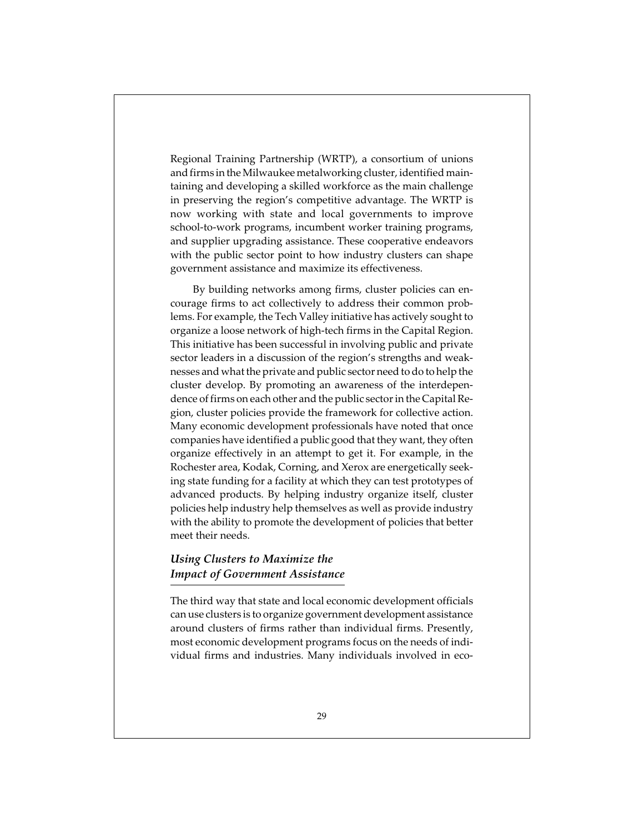Regional Training Partnership (WRTP), a consortium of unions and firms in the Milwaukee metalworking cluster, identified maintaining and developing a skilled workforce as the main challenge in preserving the region's competitive advantage. The WRTP is now working with state and local governments to improve school-to-work programs, incumbent worker training programs, and supplier upgrading assistance. These cooperative endeavors with the public sector point to how industry clusters can shape government assistance and maximize its effectiveness.

By building networks among firms, cluster policies can encourage firms to act collectively to address their common problems. For example, the Tech Valley initiative has actively sought to organize a loose network of high-tech firms in the Capital Region. This initiative has been successful in involving public and private sector leaders in a discussion of the region's strengths and weaknesses and what the private and public sector need to do to help the cluster develop. By promoting an awareness of the interdependence of firms on each other and the public sector in the Capital Region, cluster policies provide the framework for collective action. Many economic development professionals have noted that once companies have identified a public good that they want, they often organize effectively in an attempt to get it. For example, in the Rochester area, Kodak, Corning, and Xerox are energetically seeking state funding for a facility at which they can test prototypes of advanced products. By helping industry organize itself, cluster policies help industry help themselves as well as provide industry with the ability to promote the development of policies that better meet their needs.

#### *Using Clusters to Maximize the Impact of Government Assistance*

The third way that state and local economic development officials can use clusters is to organize government development assistance around clusters of firms rather than individual firms. Presently, most economic development programs focus on the needs of individual firms and industries. Many individuals involved in eco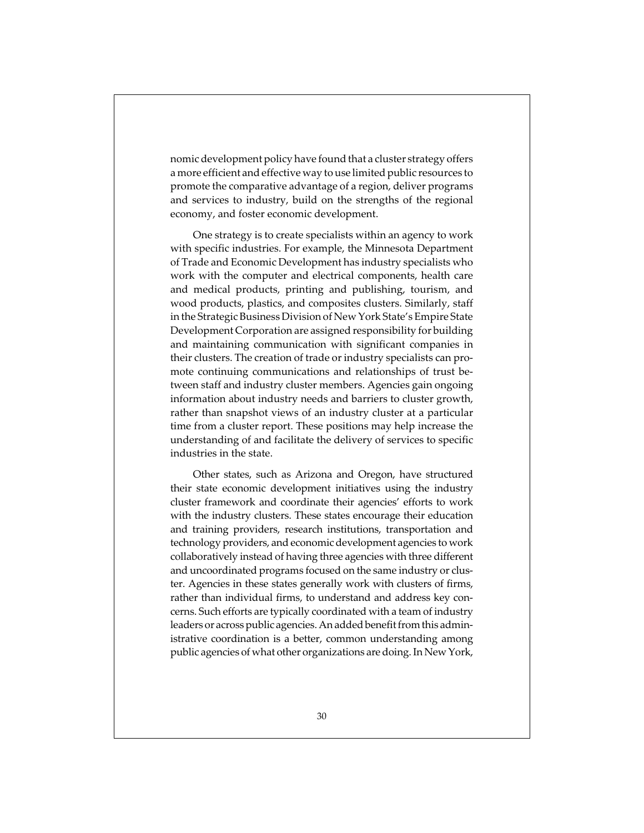nomic development policy have found that a cluster strategy offers a more efficient and effective way to use limited public resources to promote the comparative advantage of a region, deliver programs and services to industry, build on the strengths of the regional economy, and foster economic development.

One strategy is to create specialists within an agency to work with specific industries. For example, the Minnesota Department of Trade and Economic Development has industry specialists who work with the computer and electrical components, health care and medical products, printing and publishing, tourism, and wood products, plastics, and composites clusters. Similarly, staff in the Strategic Business Division of New York State's Empire State Development Corporation are assigned responsibility for building and maintaining communication with significant companies in their clusters. The creation of trade or industry specialists can promote continuing communications and relationships of trust between staff and industry cluster members. Agencies gain ongoing information about industry needs and barriers to cluster growth, rather than snapshot views of an industry cluster at a particular time from a cluster report. These positions may help increase the understanding of and facilitate the delivery of services to specific industries in the state.

Other states, such as Arizona and Oregon, have structured their state economic development initiatives using the industry cluster framework and coordinate their agencies' efforts to work with the industry clusters. These states encourage their education and training providers, research institutions, transportation and technology providers, and economic development agencies to work collaboratively instead of having three agencies with three different and uncoordinated programs focused on the same industry or cluster. Agencies in these states generally work with clusters of firms, rather than individual firms, to understand and address key concerns. Such efforts are typically coordinated with a team of industry leaders or across public agencies. An added benefit from this administrative coordination is a better, common understanding among public agencies of what other organizations are doing. In New York,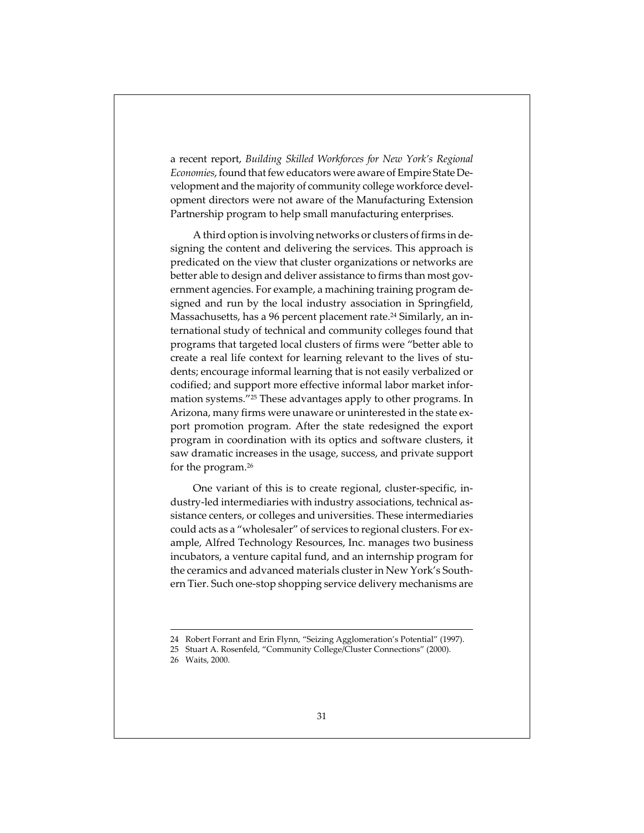a recent report, *Building Skilled Workforces for New York's Regional Economies*, found that few educators were aware of Empire State Development and the majority of community college workforce development directors were not aware of the Manufacturing Extension Partnership program to help small manufacturing enterprises.

A third option is involving networks or clusters of firms in designing the content and delivering the services. This approach is predicated on the view that cluster organizations or networks are better able to design and deliver assistance to firms than most government agencies. For example, a machining training program designed and run by the local industry association in Springfield, Massachusetts, has a 96 percent placement rate.<sup>24</sup> Similarly, an international study of technical and community colleges found that programs that targeted local clusters of firms were "better able to create a real life context for learning relevant to the lives of students; encourage informal learning that is not easily verbalized or codified; and support more effective informal labor market information systems."<sup>25</sup> These advantages apply to other programs. In Arizona, many firms were unaware or uninterested in the state export promotion program. After the state redesigned the export program in coordination with its optics and software clusters, it saw dramatic increases in the usage, success, and private support for the program.<sup>26</sup>

One variant of this is to create regional, cluster-specific, industry-led intermediaries with industry associations, technical assistance centers, or colleges and universities. These intermediaries could acts as a "wholesaler" of services to regional clusters. For example, Alfred Technology Resources, Inc. manages two business incubators, a venture capital fund, and an internship program for the ceramics and advanced materials cluster in New York's Southern Tier. Such one-stop shopping service delivery mechanisms are

<sup>24</sup> Robert Forrant and Erin Flynn, "Seizing Agglomeration's Potential" (1997).

<sup>25</sup> Stuart A. Rosenfeld, "Community College/Cluster Connections" (2000).

<sup>26</sup> Waits, 2000.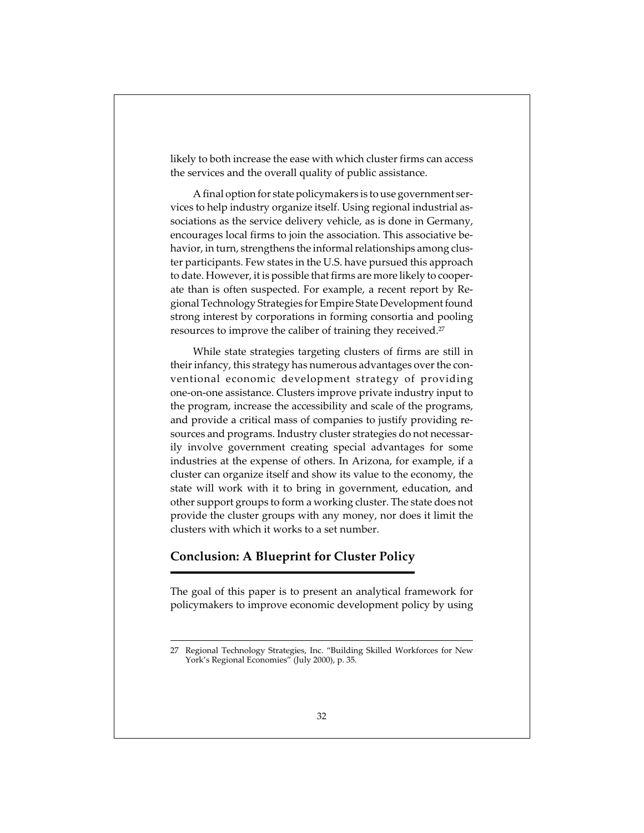likely to both increase the ease with which cluster firms can access the services and the overall quality of public assistance.

A final option for state policymakers is to use government services to help industry organize itself. Using regional industrial associations as the service delivery vehicle, as is done in Germany, encourages local firms to join the association. This associative behavior, in turn, strengthens the informal relationships among cluster participants. Few states in the U.S. have pursued this approach to date. However, it is possible that firms are more likely to cooperate than is often suspected. For example, a recent report by Regional Technology Strategies for Empire State Development found strong interest by corporations in forming consortia and pooling resources to improve the caliber of training they received.<sup>27</sup>

While state strategies targeting clusters of firms are still in their infancy, this strategy has numerous advantages over the conventional economic development strategy of providing one-on-one assistance. Clusters improve private industry input to the program, increase the accessibility and scale of the programs, and provide a critical mass of companies to justify providing resources and programs. Industry cluster strategies do not necessarily involve government creating special advantages for some industries at the expense of others. In Arizona, for example, if a cluster can organize itself and show its value to the economy, the state will work with it to bring in government, education, and other support groups to form a working cluster. The state does not provide the cluster groups with any money, nor does it limit the clusters with which it works to a set number.

#### **Conclusion: A Blueprint for Cluster Policy**

The goal of this paper is to present an analytical framework for policymakers to improve economic development policy by using

<sup>27</sup> Regional Technology Strategies, Inc. "Building Skilled Workforces for New York's Regional Economies" (July 2000), p. 35.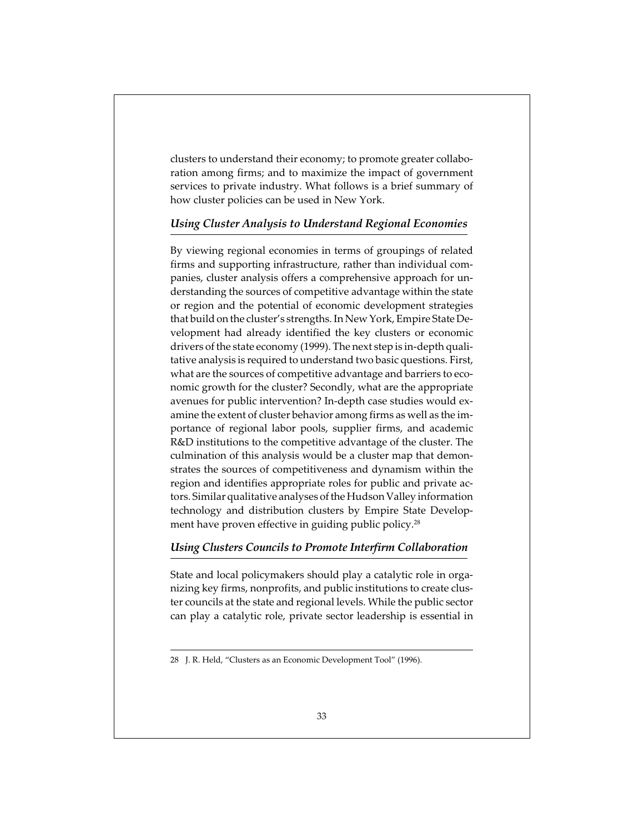clusters to understand their economy; to promote greater collaboration among firms; and to maximize the impact of government services to private industry. What follows is a brief summary of how cluster policies can be used in New York.

#### *Using Cluster Analysis to Understand Regional Economies*

By viewing regional economies in terms of groupings of related firms and supporting infrastructure, rather than individual companies, cluster analysis offers a comprehensive approach for understanding the sources of competitive advantage within the state or region and the potential of economic development strategies that build on the cluster's strengths. In New York, Empire State Development had already identified the key clusters or economic drivers of the state economy (1999). The next step is in-depth qualitative analysis is required to understand two basic questions. First, what are the sources of competitive advantage and barriers to economic growth for the cluster? Secondly, what are the appropriate avenues for public intervention? In-depth case studies would examine the extent of cluster behavior among firms as well as the importance of regional labor pools, supplier firms, and academic R&D institutions to the competitive advantage of the cluster. The culmination of this analysis would be a cluster map that demonstrates the sources of competitiveness and dynamism within the region and identifies appropriate roles for public and private actors. Similar qualitative analyses of the Hudson Valley information technology and distribution clusters by Empire State Development have proven effective in guiding public policy.<sup>28</sup>

#### *Using Clusters Councils to Promote Interfirm Collaboration*

State and local policymakers should play a catalytic role in organizing key firms, nonprofits, and public institutions to create cluster councils at the state and regional levels. While the public sector can play a catalytic role, private sector leadership is essential in

<sup>28</sup> J. R. Held, "Clusters as an Economic Development Tool" (1996).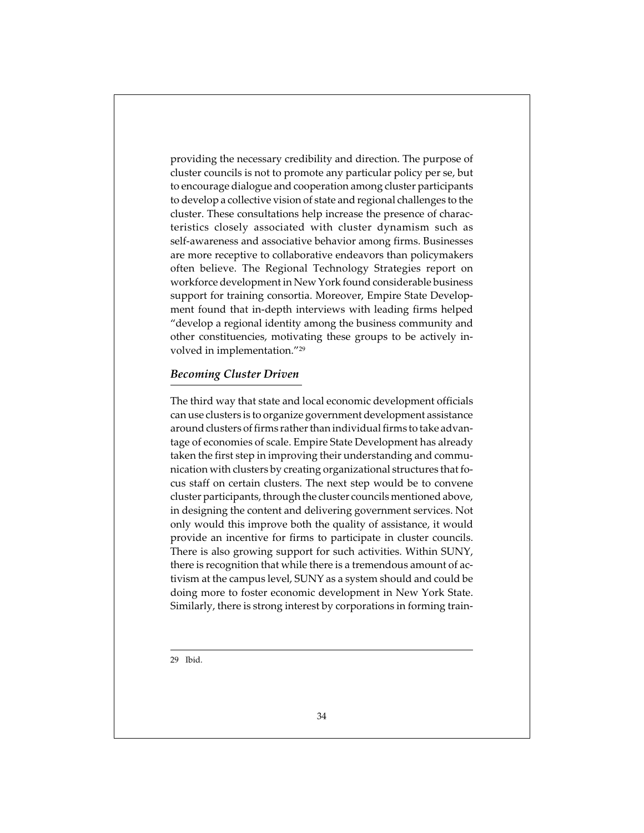providing the necessary credibility and direction. The purpose of cluster councils is not to promote any particular policy per se, but to encourage dialogue and cooperation among cluster participants to develop a collective vision of state and regional challenges to the cluster. These consultations help increase the presence of characteristics closely associated with cluster dynamism such as self-awareness and associative behavior among firms. Businesses are more receptive to collaborative endeavors than policymakers often believe. The Regional Technology Strategies report on workforce development in New York found considerable business support for training consortia. Moreover, Empire State Development found that in-depth interviews with leading firms helped "develop a regional identity among the business community and other constituencies, motivating these groups to be actively involved in implementation."<sup>29</sup>

#### *Becoming Cluster Driven*

The third way that state and local economic development officials can use clusters is to organize government development assistance around clusters of firms rather than individual firms to take advantage of economies of scale. Empire State Development has already taken the first step in improving their understanding and communication with clusters by creating organizational structures that focus staff on certain clusters. The next step would be to convene cluster participants, through the cluster councils mentioned above, in designing the content and delivering government services. Not only would this improve both the quality of assistance, it would provide an incentive for firms to participate in cluster councils. There is also growing support for such activities. Within SUNY, there is recognition that while there is a tremendous amount of activism at the campus level, SUNY as a system should and could be doing more to foster economic development in New York State. Similarly, there is strong interest by corporations in forming train-

29 Ibid.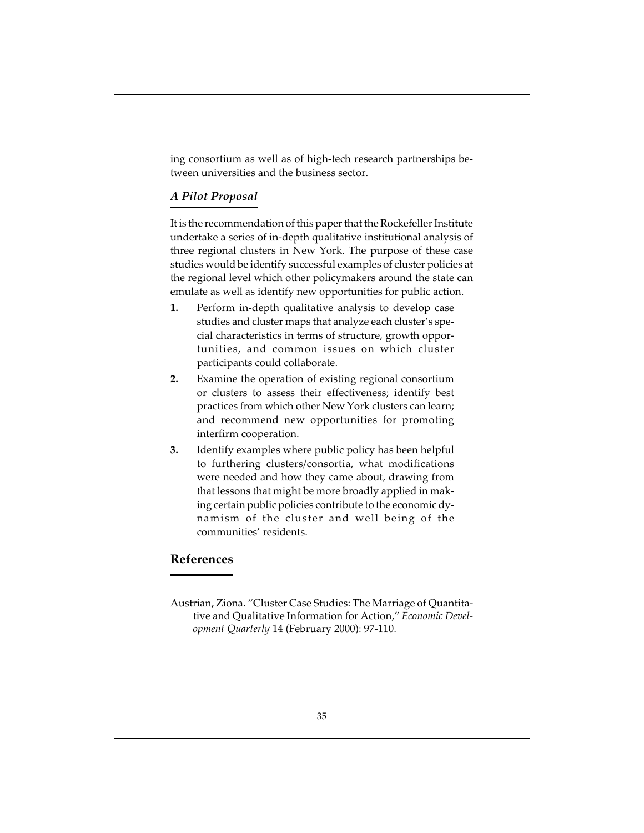ing consortium as well as of high-tech research partnerships between universities and the business sector.

#### *A Pilot Proposal*

It is the recommendation of this paper that the Rockefeller Institute undertake a series of in-depth qualitative institutional analysis of three regional clusters in New York. The purpose of these case studies would be identify successful examples of cluster policies at the regional level which other policymakers around the state can emulate as well as identify new opportunities for public action.

- **1.** Perform in-depth qualitative analysis to develop case studies and cluster maps that analyze each cluster's special characteristics in terms of structure, growth opportunities, and common issues on which cluster participants could collaborate.
- **2.** Examine the operation of existing regional consortium or clusters to assess their effectiveness; identify best practices from which other New York clusters can learn; and recommend new opportunities for promoting interfirm cooperation.
- **3.** Identify examples where public policy has been helpful to furthering clusters/consortia, what modifications were needed and how they came about, drawing from that lessons that might be more broadly applied in making certain public policies contribute to the economic dynamism of the cluster and well being of the communities' residents.

#### **References**

Austrian, Ziona. "Cluster Case Studies: The Marriage of Quantitative and Qualitative Information for Action," *Economic Development Quarterly* 14 (February 2000): 97-110.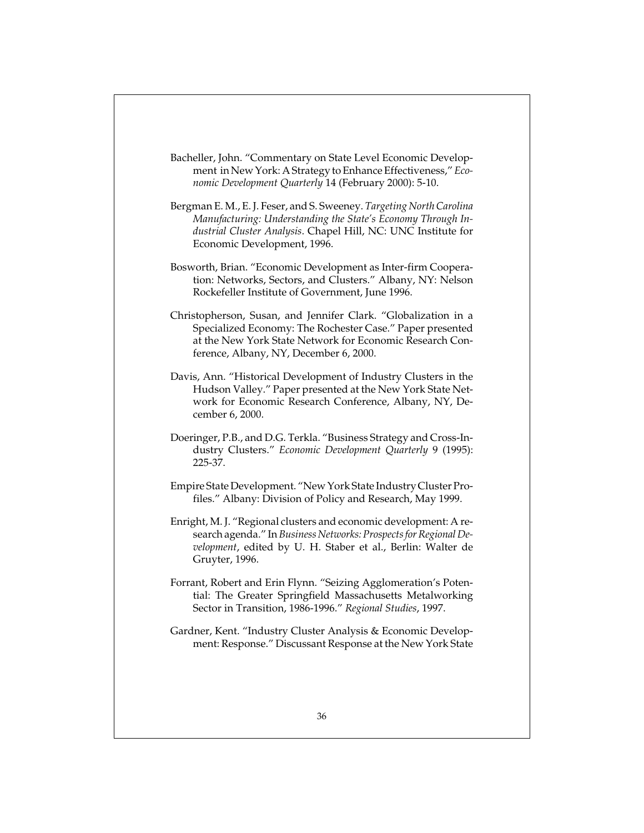- Bacheller, John. "Commentary on State Level Economic Development in New York: A Strategy to Enhance Effectiveness," *Economic Development Quarterly* 14 (February 2000): 5-10.
- Bergman E. M., E. J. Feser, and S. Sweeney. *Targeting North Carolina Manufacturing: Understanding the State's Economy Through Industrial Cluster Analysis*. Chapel Hill, NC: UNC Institute for Economic Development, 1996.
- Bosworth, Brian. "Economic Development as Inter-firm Cooperation: Networks, Sectors, and Clusters." Albany, NY: Nelson Rockefeller Institute of Government, June 1996.
- Christopherson, Susan, and Jennifer Clark. "Globalization in a Specialized Economy: The Rochester Case." Paper presented at the New York State Network for Economic Research Conference, Albany, NY, December 6, 2000.
- Davis, Ann. "Historical Development of Industry Clusters in the Hudson Valley." Paper presented at the New York State Network for Economic Research Conference, Albany, NY, December 6, 2000.
- Doeringer, P.B., and D.G. Terkla. "Business Strategy and Cross-Industry Clusters." *Economic Development Quarterly* 9 (1995): 225-37.
- Empire State Development. "New York State Industry Cluster Profiles." Albany: Division of Policy and Research, May 1999.
- Enright, M. J. "Regional clusters and economic development: A research agenda." In*Business Networks: Prospects for Regional Development*, edited by U. H. Staber et al., Berlin: Walter de Gruyter, 1996.
- Forrant, Robert and Erin Flynn. "Seizing Agglomeration's Potential: The Greater Springfield Massachusetts Metalworking Sector in Transition, 1986-1996." *Regional Studies*, 1997.
- Gardner, Kent. "Industry Cluster Analysis & Economic Development: Response." Discussant Response at the New York State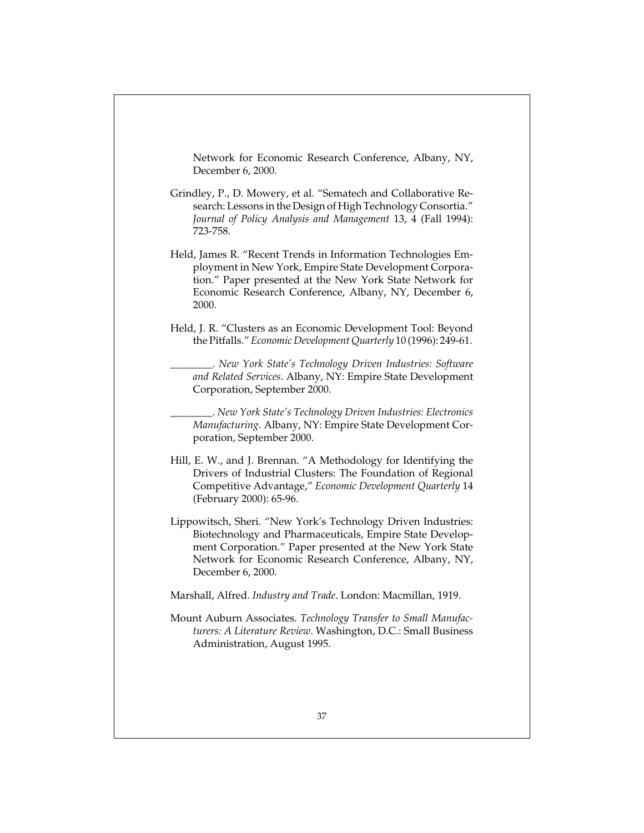Network for Economic Research Conference, Albany, NY, December 6, 2000.

- Grindley, P., D. Mowery, et al. "Sematech and Collaborative Research: Lessons in the Design of High Technology Consortia." *Journal of Policy Analysis and Management* 13, 4 (Fall 1994): 723-758.
- Held, James R. "Recent Trends in Information Technologies Employment in New York, Empire State Development Corporation." Paper presented at the New York State Network for Economic Research Conference, Albany, NY, December 6, 2000.
- Held, J. R. "Clusters as an Economic Development Tool: Beyond the Pitfalls."*Economic Development Quarterly* 10 (1996): 249-61.
	- \_\_\_\_\_\_\_\_. *New York State's Technology Driven Industries: Software and Related Services*. Albany, NY: Empire State Development Corporation, September 2000.

\_\_\_\_\_\_\_\_. *New York State's Technology Driven Industries: Electronics Manufacturing*. Albany, NY: Empire State Development Corporation, September 2000.

- Hill, E. W., and J. Brennan. "A Methodology for Identifying the Drivers of Industrial Clusters: The Foundation of Regional Competitive Advantage," *Economic Development Quarterly* 14 (February 2000): 65-96.
- Lippowitsch, Sheri. "New York's Technology Driven Industries: Biotechnology and Pharmaceuticals, Empire State Development Corporation." Paper presented at the New York State Network for Economic Research Conference, Albany, NY, December 6, 2000.

Marshall, Alfred. *Industry and Trade*. London: Macmillan, 1919.

Mount Auburn Associates. *Technology Transfer to Small Manufacturers: A Literature Review*. Washington, D.C.: Small Business Administration, August 1995.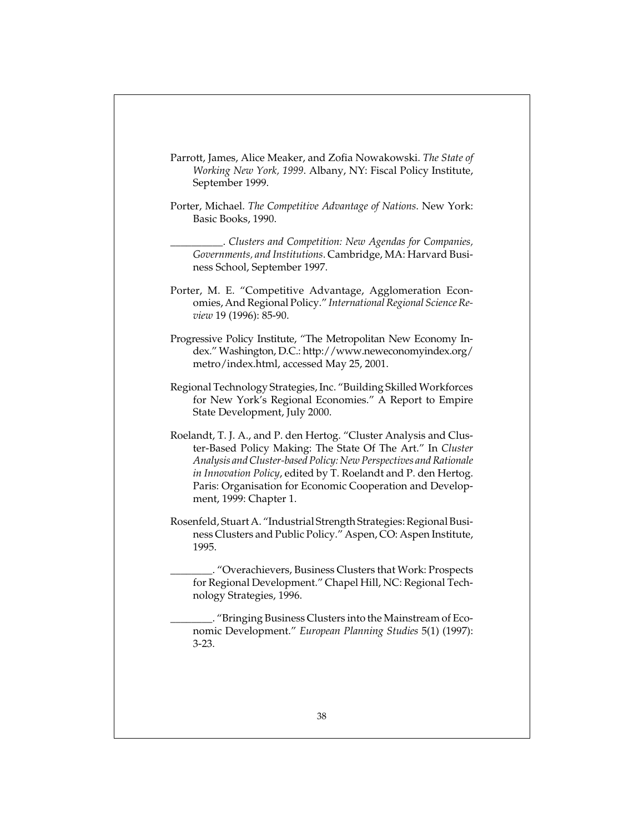Parrott, James, Alice Meaker, and Zofia Nowakowski. *The State of Working New York, 1999*. Albany, NY: Fiscal Policy Institute, September 1999. Porter, Michael. *The Competitive Advantage of Nations*. New York: Basic Books, 1990. \_\_\_\_\_\_\_\_\_\_. *Clusters and Competition: New Agendas for Companies, Governments, and Institutions*. Cambridge, MA: Harvard Business School, September 1997. Porter, M. E. "Competitive Advantage, Agglomeration Economies, And Regional Policy." *International Regional Science Review* 19 (1996): 85-90. Progressive Policy Institute, "The Metropolitan New Economy Index." Washington, D.C.: http://www.neweconomyindex.org/ metro/index.html, accessed May 25, 2001. Regional Technology Strategies, Inc. "Building Skilled Workforces for New York's Regional Economies." A Report to Empire State Development, July 2000. Roelandt, T. J. A., and P. den Hertog. "Cluster Analysis and Cluster-Based Policy Making: The State Of The Art." In *Cluster Analysis and Cluster-based Policy: New Perspectives and Rationale in Innovation Policy*, edited by T. Roelandt and P. den Hertog. Paris: Organisation for Economic Cooperation and Development, 1999: Chapter 1. Rosenfeld, Stuart A. "Industrial Strength Strategies: Regional Business Clusters and Public Policy." Aspen, CO: Aspen Institute, 1995. \_\_\_\_\_\_\_\_. "Overachievers, Business Clusters that Work: Prospects for Regional Development." Chapel Hill, NC: Regional Technology Strategies, 1996. . "Bringing Business Clusters into the Mainstream of Economic Development." *European Planning Studies* 5(1) (1997): 3-23.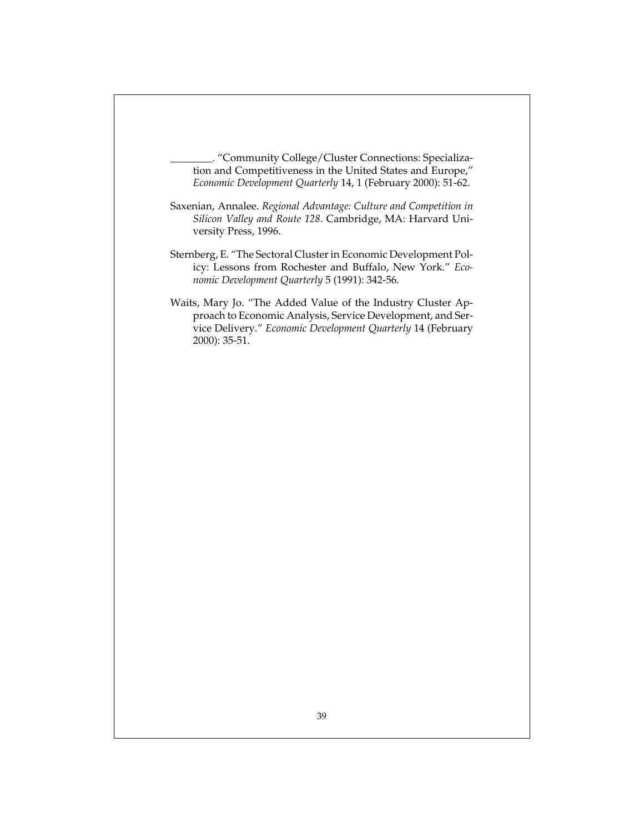\_\_\_\_\_\_\_\_. "Community College/Cluster Connections: Specialization and Competitiveness in the United States and Europe," *Economic Development Quarterly* 14, 1 (February 2000): 51-62.

- Saxenian, Annalee. *Regional Advantage: Culture and Competition in Silicon Valley and Route 128*. Cambridge, MA: Harvard University Press, 1996.
- Sternberg, E. "The Sectoral Cluster in Economic Development Policy: Lessons from Rochester and Buffalo, New York." *Economic Development Quarterly* 5 (1991): 342-56.
- Waits, Mary Jo. "The Added Value of the Industry Cluster Approach to Economic Analysis, Service Development, and Service Delivery." *Economic Development Quarterly* 14 (February 2000): 35-51.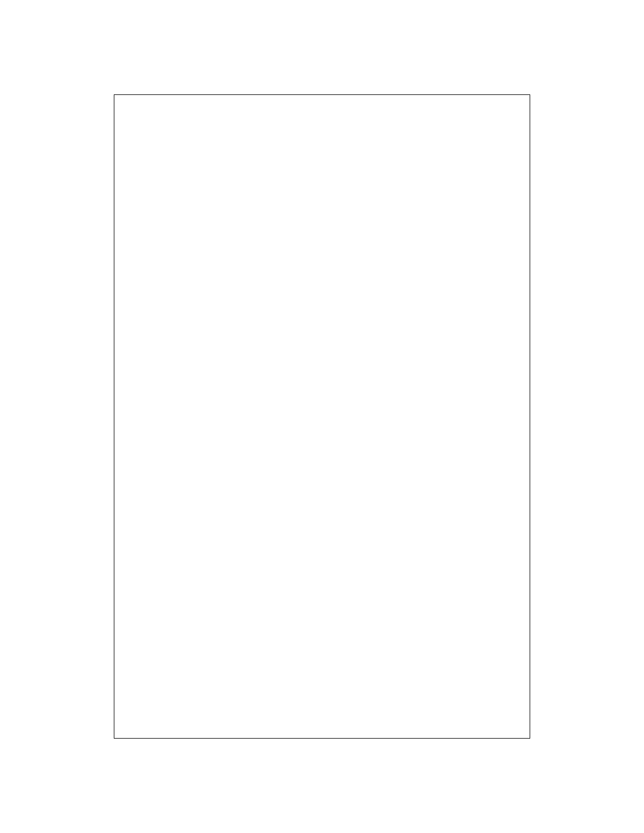